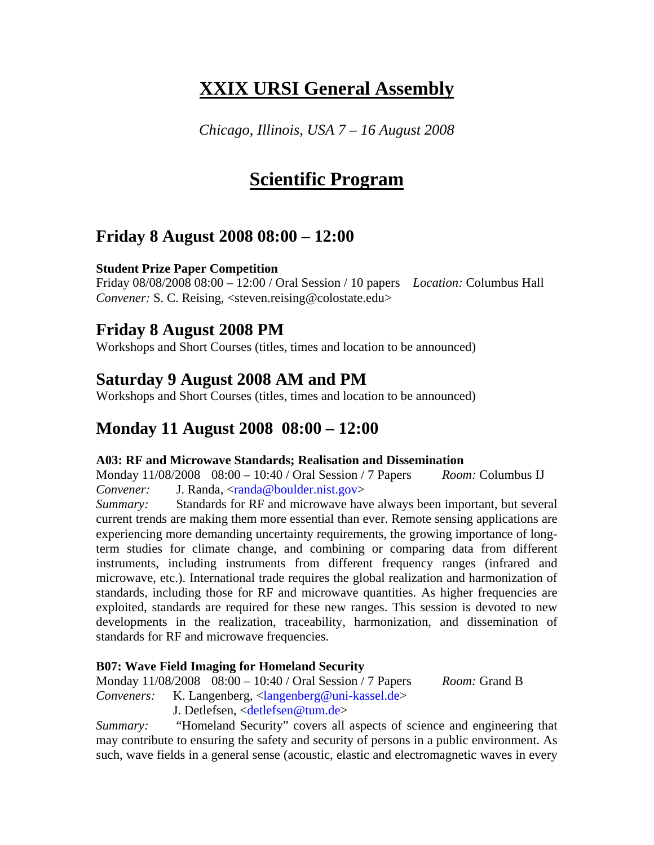# **XXIX URSI General Assembly**

*Chicago, Illinois, USA 7 – 16 August 2008* 

# **Scientific Program**

# **Friday 8 August 2008 08:00 – 12:00**

# **Student Prize Paper Competition**

Friday 08/08/2008 08:00 – 12:00 / Oral Session / 10 papers *Location:* Columbus Hall *Convener:* S. C. Reising, <steven.reising@colostate.edu>

# **Friday 8 August 2008 PM**

Workshops and Short Courses (titles, times and location to be announced)

# **Saturday 9 August 2008 AM and PM**

Workshops and Short Courses (titles, times and location to be announced)

# **Monday 11 August 2008 08:00 – 12:00**

### **A03: RF and Microwave Standards; Realisation and Dissemination**

Monday 11/08/2008 08:00 – 10:40 / Oral Session / 7 Papers *Room:* Columbus IJ *Convener:* J. Randa, <randa@boulder.nist.gov>

*Summary:* Standards for RF and microwave have always been important, but several current trends are making them more essential than ever. Remote sensing applications are experiencing more demanding uncertainty requirements, the growing importance of longterm studies for climate change, and combining or comparing data from different instruments, including instruments from different frequency ranges (infrared and microwave, etc.). International trade requires the global realization and harmonization of standards, including those for RF and microwave quantities. As higher frequencies are exploited, standards are required for these new ranges. This session is devoted to new developments in the realization, traceability, harmonization, and dissemination of standards for RF and microwave frequencies.

# **B07: Wave Field Imaging for Homeland Security**

Monday 11/08/2008 08:00 – 10:40 / Oral Session / 7 Papers *Room:* Grand B

*Conveners:* K. Langenberg, <langenberg@uni-kassel.de>

J. Detlefsen, <detlefsen@tum.de>

*Summary:* "Homeland Security" covers all aspects of science and engineering that may contribute to ensuring the safety and security of persons in a public environment. As such, wave fields in a general sense (acoustic, elastic and electromagnetic waves in every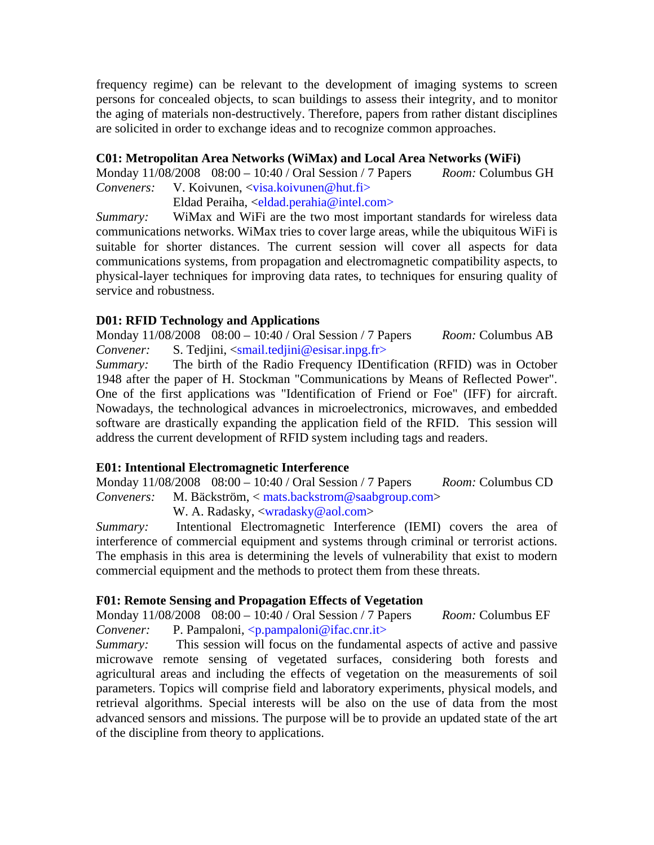frequency regime) can be relevant to the development of imaging systems to screen persons for concealed objects, to scan buildings to assess their integrity, and to monitor the aging of materials non-destructively. Therefore, papers from rather distant disciplines are solicited in order to exchange ideas and to recognize common approaches.

### **C01: Metropolitan Area Networks (WiMax) and Local Area Networks (WiFi)**

Monday 11/08/2008 08:00 – 10:40 / Oral Session / 7 Papers *Room:* Columbus GH *Conveners:* V. Koivunen, <visa.koivunen@hut.fi>

Eldad Peraiha, <eldad.perahia@intel.com>

*Summary:* WiMax and WiFi are the two most important standards for wireless data communications networks. WiMax tries to cover large areas, while the ubiquitous WiFi is suitable for shorter distances. The current session will cover all aspects for data communications systems, from propagation and electromagnetic compatibility aspects, to physical-layer techniques for improving data rates, to techniques for ensuring quality of service and robustness.

## **D01: RFID Technology and Applications**

Monday 11/08/2008 08:00 – 10:40 / Oral Session / 7 Papers *Room:* Columbus AB *Convener:* S. Tedjini, <smail.tedjini@esisar.inpg.fr>

*Summary:* The birth of the Radio Frequency IDentification (RFID) was in October 1948 after the paper of H. Stockman "Communications by Means of Reflected Power". One of the first applications was "Identification of Friend or Foe" (IFF) for aircraft. Nowadays, the technological advances in microelectronics, microwaves, and embedded software are drastically expanding the application field of the RFID. This session will address the current development of RFID system including tags and readers.

### **E01: Intentional Electromagnetic Interference**

Monday 11/08/2008 08:00 – 10:40 / Oral Session / 7 Papers *Room:* Columbus CD *Conveners:* M. Bäckström, < mats.backstrom@saabgroup.com>

W. A. Radasky, <wradasky@aol.com>

*Summary:* Intentional Electromagnetic Interference (IEMI) covers the area of interference of commercial equipment and systems through criminal or terrorist actions. The emphasis in this area is determining the levels of vulnerability that exist to modern commercial equipment and the methods to protect them from these threats.

### **F01: Remote Sensing and Propagation Effects of Vegetation**

Monday 11/08/2008 08:00 – 10:40 / Oral Session / 7 Papers *Room:* Columbus EF *Convener:* P. Pampaloni, <p.pampaloni@ifac.cnr.it>

*Summary:* This session will focus on the fundamental aspects of active and passive microwave remote sensing of vegetated surfaces, considering both forests and agricultural areas and including the effects of vegetation on the measurements of soil parameters. Topics will comprise field and laboratory experiments, physical models, and retrieval algorithms. Special interests will be also on the use of data from the most advanced sensors and missions. The purpose will be to provide an updated state of the art of the discipline from theory to applications.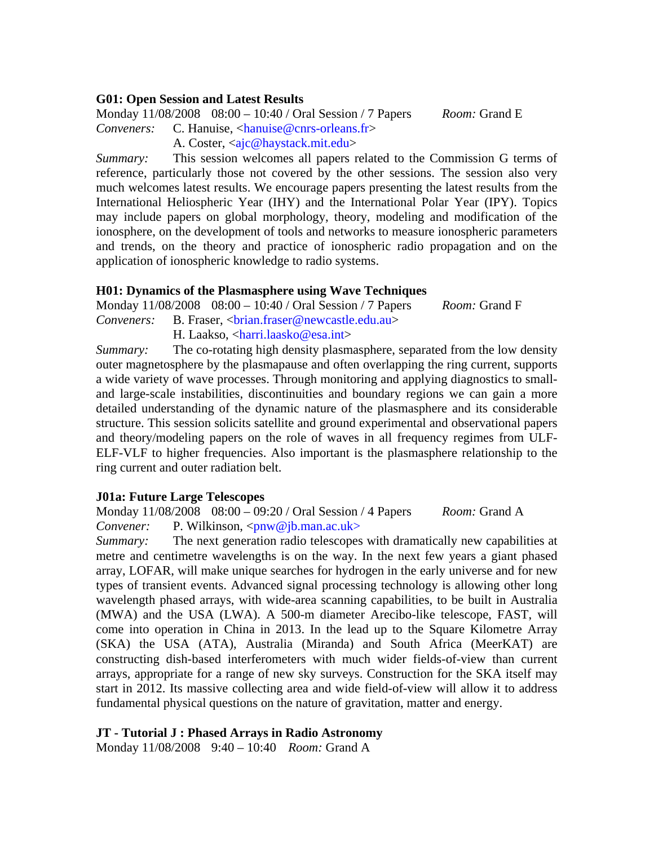### **G01: Open Session and Latest Results**

Monday 11/08/2008 08:00 – 10:40 / Oral Session / 7 Papers *Room:* Grand E *Conveners:* C. Hanuise, <hanuise@cnrs-orleans.fr>

A. Coster, <aic@haystack.mit.edu>

*Summary:* This session welcomes all papers related to the Commission G terms of reference, particularly those not covered by the other sessions. The session also very much welcomes latest results. We encourage papers presenting the latest results from the International Heliospheric Year (IHY) and the International Polar Year (IPY). Topics may include papers on global morphology, theory, modeling and modification of the ionosphere, on the development of tools and networks to measure ionospheric parameters and trends, on the theory and practice of ionospheric radio propagation and on the application of ionospheric knowledge to radio systems.

### **H01: Dynamics of the Plasmasphere using Wave Techniques**

Monday 11/08/2008 08:00 – 10:40 / Oral Session / 7 Papers *Room:* Grand F *Conveners:* B. Fraser, <br/>*chrian.fraser@newcastle.edu.au>* H. Laakso, <harri.laasko@esa.int>

*Summary:* The co-rotating high density plasmasphere, separated from the low density outer magnetosphere by the plasmapause and often overlapping the ring current, supports a wide variety of wave processes. Through monitoring and applying diagnostics to smalland large-scale instabilities, discontinuities and boundary regions we can gain a more detailed understanding of the dynamic nature of the plasmasphere and its considerable structure. This session solicits satellite and ground experimental and observational papers and theory/modeling papers on the role of waves in all frequency regimes from ULF-ELF-VLF to higher frequencies. Also important is the plasmasphere relationship to the ring current and outer radiation belt.

### **J01a: Future Large Telescopes**

Monday 11/08/2008 08:00 – 09:20 / Oral Session / 4 Papers *Room:* Grand A *Convener:* P. Wilkinson, <pnw@jb.man.ac.uk>

*Summary:* The next generation radio telescopes with dramatically new capabilities at metre and centimetre wavelengths is on the way. In the next few years a giant phased array, LOFAR, will make unique searches for hydrogen in the early universe and for new types of transient events. Advanced signal processing technology is allowing other long wavelength phased arrays, with wide-area scanning capabilities, to be built in Australia (MWA) and the USA (LWA). A 500-m diameter Arecibo-like telescope, FAST, will come into operation in China in 2013. In the lead up to the Square Kilometre Array (SKA) the USA (ATA), Australia (Miranda) and South Africa (MeerKAT) are constructing dish-based interferometers with much wider fields-of-view than current arrays, appropriate for a range of new sky surveys. Construction for the SKA itself may start in 2012. Its massive collecting area and wide field-of-view will allow it to address fundamental physical questions on the nature of gravitation, matter and energy.

### **JT - Tutorial J : Phased Arrays in Radio Astronomy**

Monday 11/08/2008 9:40 – 10:40 *Room:* Grand A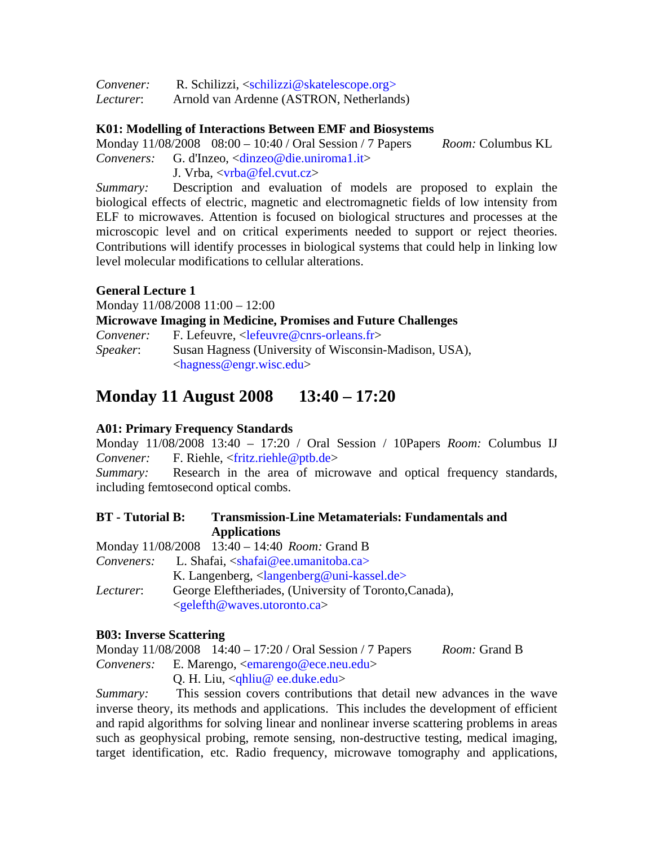| Convener: | R. Schilizzi, $\langle$ schilizzi@skatelescope.org $>$ |
|-----------|--------------------------------------------------------|
| Lecturer: | Arnold van Ardenne (ASTRON, Netherlands)               |

### **K01: Modelling of Interactions Between EMF and Biosystems**

Monday 11/08/2008 08:00 – 10:40 / Oral Session / 7 Papers *Room:* Columbus KL *Conveners:* G. d'Inzeo, <dinzeo@die.uniroma1.it>

J. Vrba, <vrba@fel.cvut.cz>

*Summary:* Description and evaluation of models are proposed to explain the biological effects of electric, magnetic and electromagnetic fields of low intensity from ELF to microwaves. Attention is focused on biological structures and processes at the microscopic level and on critical experiments needed to support or reject theories. Contributions will identify processes in biological systems that could help in linking low level molecular modifications to cellular alterations.

### **General Lecture 1**

Monday 11/08/2008 11:00 – 12:00

**Microwave Imaging in Medicine, Promises and Future Challenges** 

| Convener:        | F. Lefeuvre, $\langle$ lefeuvre@cnrs-orleans.fr>      |
|------------------|-------------------------------------------------------|
| <i>Speaker</i> : | Susan Hagness (University of Wisconsin-Madison, USA), |
|                  | $\langle$ hagness@engr.wisc.edu>                      |

# **Monday 11 August 2008 13:40 – 17:20**

# **A01: Primary Frequency Standards**

Monday 11/08/2008 13:40 – 17:20 / Oral Session / 10Papers *Room:* Columbus IJ *Convener:* F. Riehle, <fritz.riehle@ptb.de>

*Summary:* Research in the area of microwave and optical frequency standards, including femtosecond optical combs.

# **BT - Tutorial B: Transmission-Line Metamaterials: Fundamentals and Applications**

Monday 11/08/2008 13:40 – 14:40 *Room:* Grand B

*Conveners:* L. Shafai, <shafai@ee.umanitoba.ca>

K. Langenberg,  $\langle \text{language} | \omega \rangle$ *Lecturer*: George Eleftheriades, (University of Toronto,Canada), <gelefth@waves.utoronto.ca>

# **B03: Inverse Scattering**

Monday 11/08/2008 14:40 – 17:20 / Oral Session / 7 Papers *Room:* Grand B *Conveners:* E. Marengo, <emarengo@ece.neu.edu> Q. H. Liu, <qhliu@ ee.duke.edu>

*Summary:* This session covers contributions that detail new advances in the wave inverse theory, its methods and applications. This includes the development of efficient and rapid algorithms for solving linear and nonlinear inverse scattering problems in areas such as geophysical probing, remote sensing, non-destructive testing, medical imaging, target identification, etc. Radio frequency, microwave tomography and applications,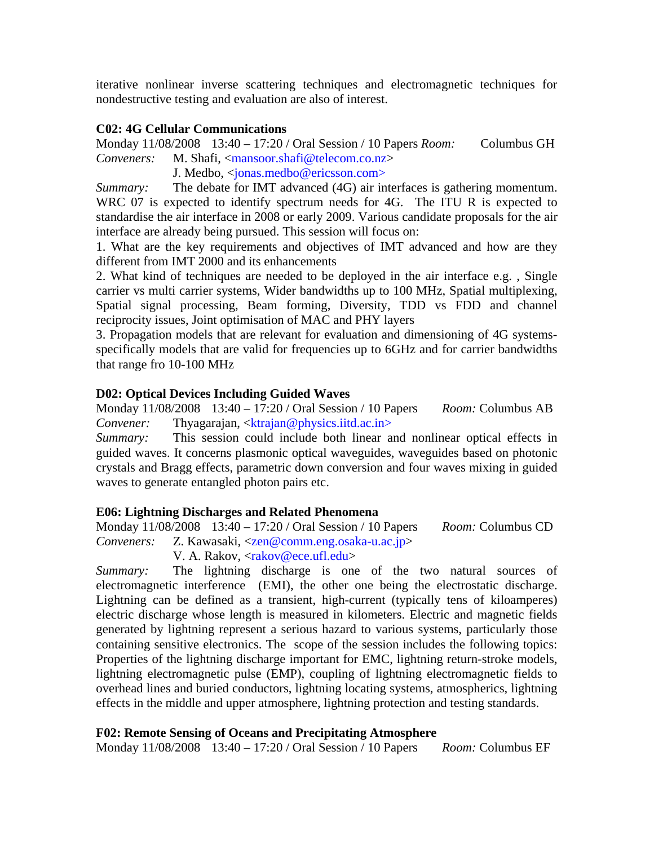iterative nonlinear inverse scattering techniques and electromagnetic techniques for nondestructive testing and evaluation are also of interest.

### **C02: 4G Cellular Communications**

Monday 11/08/2008 13:40 – 17:20 / Oral Session / 10 Papers *Room:* Columbus GH *Conveners:* M. Shafi, <mansoor.shafi@telecom.co.nz>

J. Medbo, <jonas.medbo@ericsson.com>

*Summary:* The debate for IMT advanced (4G) air interfaces is gathering momentum. WRC 07 is expected to identify spectrum needs for 4G. The ITU R is expected to standardise the air interface in 2008 or early 2009. Various candidate proposals for the air interface are already being pursued. This session will focus on:

1. What are the key requirements and objectives of IMT advanced and how are they different from IMT 2000 and its enhancements

2. What kind of techniques are needed to be deployed in the air interface e.g. , Single carrier vs multi carrier systems, Wider bandwidths up to 100 MHz, Spatial multiplexing, Spatial signal processing, Beam forming, Diversity, TDD vs FDD and channel reciprocity issues, Joint optimisation of MAC and PHY layers

3. Propagation models that are relevant for evaluation and dimensioning of 4G systemsspecifically models that are valid for frequencies up to 6GHz and for carrier bandwidths that range fro 10-100 MHz

#### **D02: Optical Devices Including Guided Waves**

Monday 11/08/2008 13:40 – 17:20 / Oral Session / 10 Papers *Room:* Columbus AB *Convener:* Thyagarajan, <ktrajan@physics.iitd.ac.in>

*Summary:* This session could include both linear and nonlinear optical effects in guided waves. It concerns plasmonic optical waveguides, waveguides based on photonic crystals and Bragg effects, parametric down conversion and four waves mixing in guided waves to generate entangled photon pairs etc.

#### **E06: Lightning Discharges and Related Phenomena**

Monday 11/08/2008 13:40 – 17:20 / Oral Session / 10 Papers *Room:* Columbus CD *Conveners:* Z. Kawasaki, <zen@comm.eng.osaka-u.ac.jp>

V. A. Rakov, <rakov@ece.ufl.edu>

*Summary:* The lightning discharge is one of the two natural sources of electromagnetic interference (EMI), the other one being the electrostatic discharge. Lightning can be defined as a transient, high-current (typically tens of kiloamperes) electric discharge whose length is measured in kilometers. Electric and magnetic fields generated by lightning represent a serious hazard to various systems, particularly those containing sensitive electronics. The scope of the session includes the following topics: Properties of the lightning discharge important for EMC, lightning return-stroke models, lightning electromagnetic pulse (EMP), coupling of lightning electromagnetic fields to overhead lines and buried conductors, lightning locating systems, atmospherics, lightning effects in the middle and upper atmosphere, lightning protection and testing standards.

#### **F02: Remote Sensing of Oceans and Precipitating Atmosphere**

Monday 11/08/2008 13:40 – 17:20 / Oral Session / 10 Papers *Room:* Columbus EF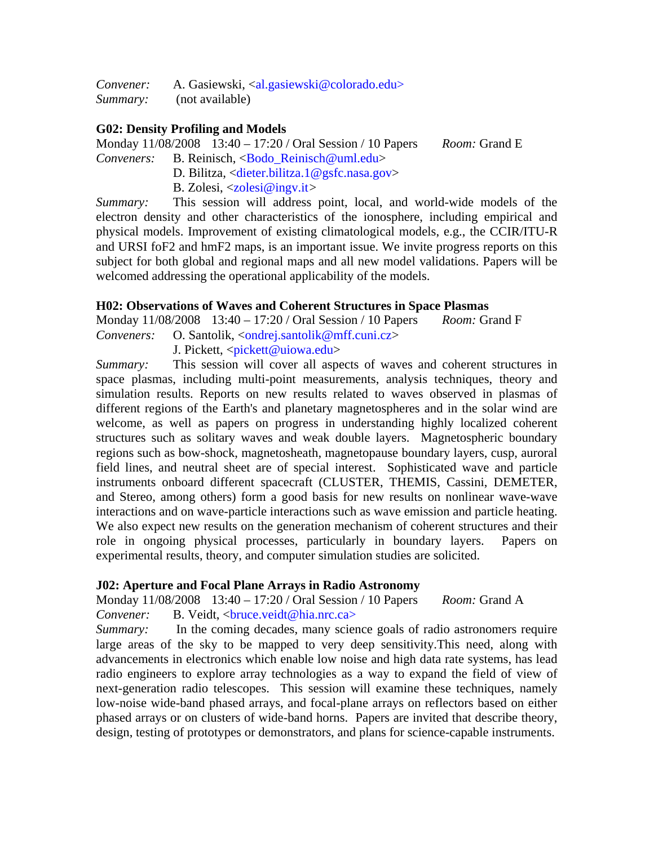*Convener:* A. Gasiewski, <al.gasiewski@colorado.edu> *Summary:* (not available)

### **G02: Density Profiling and Models**

Monday 11/08/2008 13:40 – 17:20 / Oral Session / 10 Papers *Room:* Grand E

- *Conveners:* B. Reinisch, <Bodo\_Reinisch@uml.edu>
	- D. Bilitza, <dieter.bilitza.1@gsfc.nasa.gov>
	- B. Zolesi, <zolesi@ingv.it*>*

*Summary:* This session will address point, local, and world-wide models of the electron density and other characteristics of the ionosphere, including empirical and physical models. Improvement of existing climatological models, e.g., the CCIR/ITU-R and URSI foF2 and hmF2 maps, is an important issue. We invite progress reports on this subject for both global and regional maps and all new model validations. Papers will be welcomed addressing the operational applicability of the models.

### **H02: Observations of Waves and Coherent Structures in Space Plasmas**

Monday 11/08/2008 13:40 – 17:20 / Oral Session / 10 Papers *Room:* Grand F

*Conveners:* O. Santolik, <ondrej.santolik@mff.cuni.cz> J. Pickett, <pickett@uiowa.edu>

*Summary:* This session will cover all aspects of waves and coherent structures in space plasmas, including multi-point measurements, analysis techniques, theory and simulation results. Reports on new results related to waves observed in plasmas of different regions of the Earth's and planetary magnetospheres and in the solar wind are welcome, as well as papers on progress in understanding highly localized coherent structures such as solitary waves and weak double layers. Magnetospheric boundary regions such as bow-shock, magnetosheath, magnetopause boundary layers, cusp, auroral field lines, and neutral sheet are of special interest. Sophisticated wave and particle instruments onboard different spacecraft (CLUSTER, THEMIS, Cassini, DEMETER, and Stereo, among others) form a good basis for new results on nonlinear wave-wave interactions and on wave-particle interactions such as wave emission and particle heating. We also expect new results on the generation mechanism of coherent structures and their role in ongoing physical processes, particularly in boundary layers. Papers on experimental results, theory, and computer simulation studies are solicited.

### **J02: Aperture and Focal Plane Arrays in Radio Astronomy**

Monday 11/08/2008 13:40 – 17:20 / Oral Session / 10 Papers *Room:* Grand A *Convener:* B. Veidt, <bruce.veidt@hia.nrc.ca>

*Summary:* In the coming decades, many science goals of radio astronomers require large areas of the sky to be mapped to very deep sensitivity.This need, along with advancements in electronics which enable low noise and high data rate systems, has lead radio engineers to explore array technologies as a way to expand the field of view of next-generation radio telescopes. This session will examine these techniques, namely low-noise wide-band phased arrays, and focal-plane arrays on reflectors based on either phased arrays or on clusters of wide-band horns. Papers are invited that describe theory, design, testing of prototypes or demonstrators, and plans for science-capable instruments.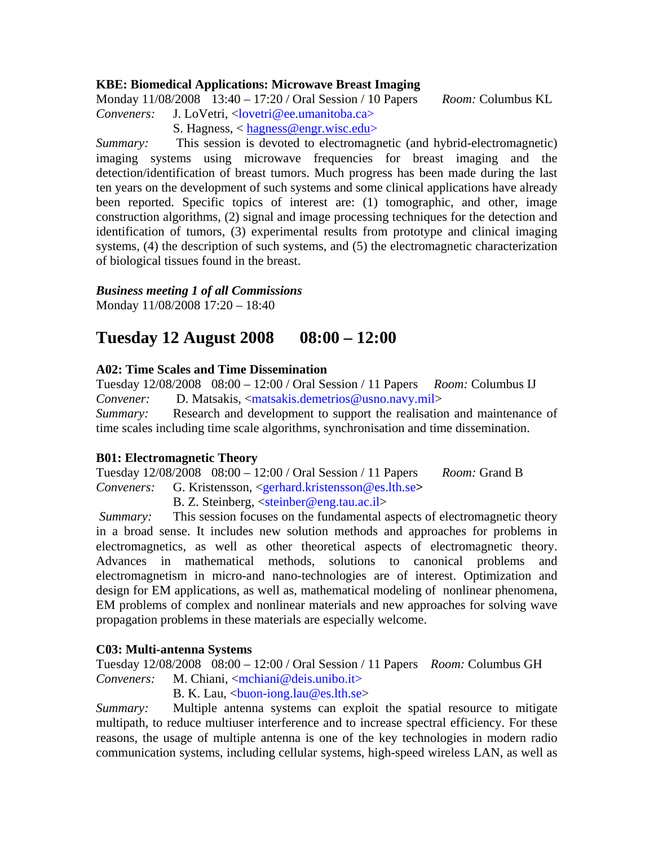### **KBE: Biomedical Applications: Microwave Breast Imaging**

Monday 11/08/2008 13:40 – 17:20 / Oral Session / 10 Papers *Room:* Columbus KL *Conveners:* J. LoVetri, <lovetri@ee.umanitoba.ca>

S. Hagness, < hagness@engr.wisc.edu>

*Summary:* This session is devoted to electromagnetic (and hybrid-electromagnetic) imaging systems using microwave frequencies for breast imaging and the detection/identification of breast tumors. Much progress has been made during the last ten years on the development of such systems and some clinical applications have already been reported. Specific topics of interest are: (1) tomographic, and other, image construction algorithms, (2) signal and image processing techniques for the detection and identification of tumors, (3) experimental results from prototype and clinical imaging systems, (4) the description of such systems, and (5) the electromagnetic characterization of biological tissues found in the breast.

## *Business meeting 1 of all Commissions*

Monday 11/08/2008 17:20 – 18:40

# **Tuesday 12 August 2008 08:00 – 12:00**

## **A02: Time Scales and Time Dissemination**

Tuesday 12/08/2008 08:00 – 12:00 / Oral Session / 11 Papers *Room:* Columbus IJ *Convener:* D. Matsakis, <matsakis.demetrios@usno.navy.mil> *Summary:* Research and development to support the realisation and maintenance of time scales including time scale algorithms, synchronisation and time dissemination.

### **B01: Electromagnetic Theory**

Tuesday 12/08/2008 08:00 – 12:00 / Oral Session / 11 Papers *Room:* Grand B *Conveners:* G. Kristensson, <gerhard.kristensson@es.lth.se**>** 

B. Z. Steinberg, <steinber@eng.tau.ac.il>

*Summary:* This session focuses on the fundamental aspects of electromagnetic theory in a broad sense. It includes new solution methods and approaches for problems in electromagnetics, as well as other theoretical aspects of electromagnetic theory. Advances in mathematical methods, solutions to canonical problems and electromagnetism in micro-and nano-technologies are of interest. Optimization and design for EM applications, as well as, mathematical modeling of nonlinear phenomena, EM problems of complex and nonlinear materials and new approaches for solving wave propagation problems in these materials are especially welcome.

### **C03: Multi-antenna Systems**

Tuesday 12/08/2008 08:00 – 12:00 / Oral Session / 11 Papers *Room:* Columbus GH *Conveners:* M. Chiani, <mchiani@deis.unibo.it>

B. K. Lau,  $\langle$ buon-iong.lau@es.lth.se $>$ 

*Summary:* Multiple antenna systems can exploit the spatial resource to mitigate multipath, to reduce multiuser interference and to increase spectral efficiency. For these reasons, the usage of multiple antenna is one of the key technologies in modern radio communication systems, including cellular systems, high-speed wireless LAN, as well as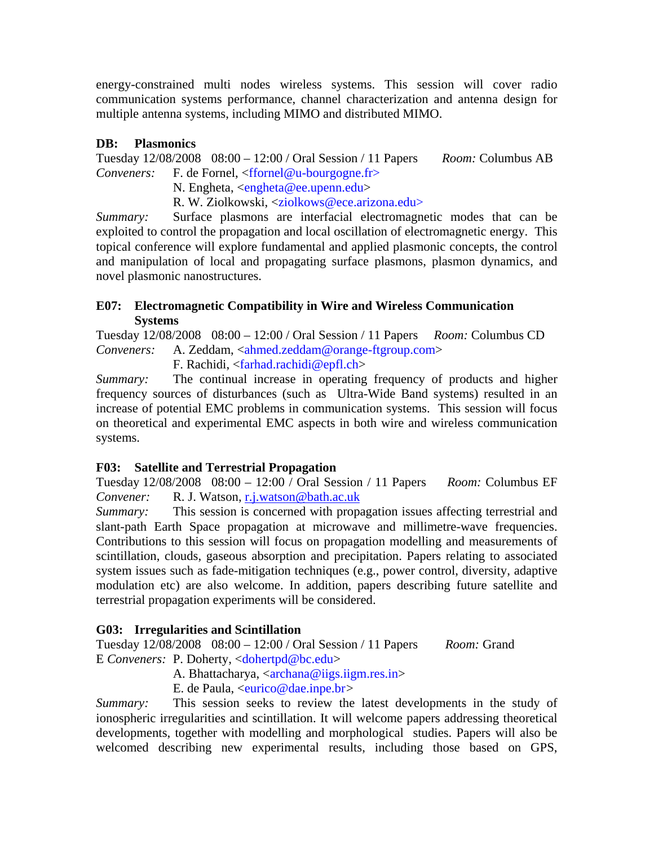energy-constrained multi nodes wireless systems. This session will cover radio communication systems performance, channel characterization and antenna design for multiple antenna systems, including MIMO and distributed MIMO.

# **DB: Plasmonics**

Tuesday 12/08/2008 08:00 – 12:00 / Oral Session / 11 Papers *Room:* Columbus AB *Conveners:* F. de Fornel, <ffornel@u-bourgogne.fr>

N. Engheta, <engheta@ee.upenn.edu>

R. W. Ziolkowski, <ziolkows@ece.arizona.edu>

*Summary:* Surface plasmons are interfacial electromagnetic modes that can be exploited to control the propagation and local oscillation of electromagnetic energy. This topical conference will explore fundamental and applied plasmonic concepts, the control and manipulation of local and propagating surface plasmons, plasmon dynamics, and novel plasmonic nanostructures.

# **E07: Electromagnetic Compatibility in Wire and Wireless Communication Systems**

Tuesday 12/08/2008 08:00 – 12:00 / Oral Session / 11 Papers *Room:* Columbus CD Conveners: A. Zeddam, <ahmed.zeddam@orange-ftgroup.com>

F. Rachidi, <farhad.rachidi@epfl.ch>

*Summary:* The continual increase in operating frequency of products and higher frequency sources of disturbances (such as Ultra-Wide Band systems) resulted in an increase of potential EMC problems in communication systems. This session will focus on theoretical and experimental EMC aspects in both wire and wireless communication systems.

# **F03: Satellite and Terrestrial Propagation**

Tuesday 12/08/2008 08:00 – 12:00 / Oral Session / 11 Papers *Room:* Columbus EF *Convener:* R. J. Watson, r.j.watson@bath.ac.uk

*Summary:* This session is concerned with propagation issues affecting terrestrial and slant-path Earth Space propagation at microwave and millimetre-wave frequencies. Contributions to this session will focus on propagation modelling and measurements of scintillation, clouds, gaseous absorption and precipitation. Papers relating to associated system issues such as fade-mitigation techniques (e.g., power control, diversity, adaptive modulation etc) are also welcome. In addition, papers describing future satellite and terrestrial propagation experiments will be considered.

# **G03: Irregularities and Scintillation**

Tuesday 12/08/2008 08:00 – 12:00 / Oral Session / 11 Papers *Room:* Grand E *Conveners:* P. Doherty, <dohertpd@bc.edu>

A. Bhattacharya, <archana@iigs.iigm.res.in>

E. de Paula, <eurico@dae.inpe.br*>* 

*Summary:* This session seeks to review the latest developments in the study of ionospheric irregularities and scintillation. It will welcome papers addressing theoretical developments, together with modelling and morphological studies. Papers will also be welcomed describing new experimental results, including those based on GPS,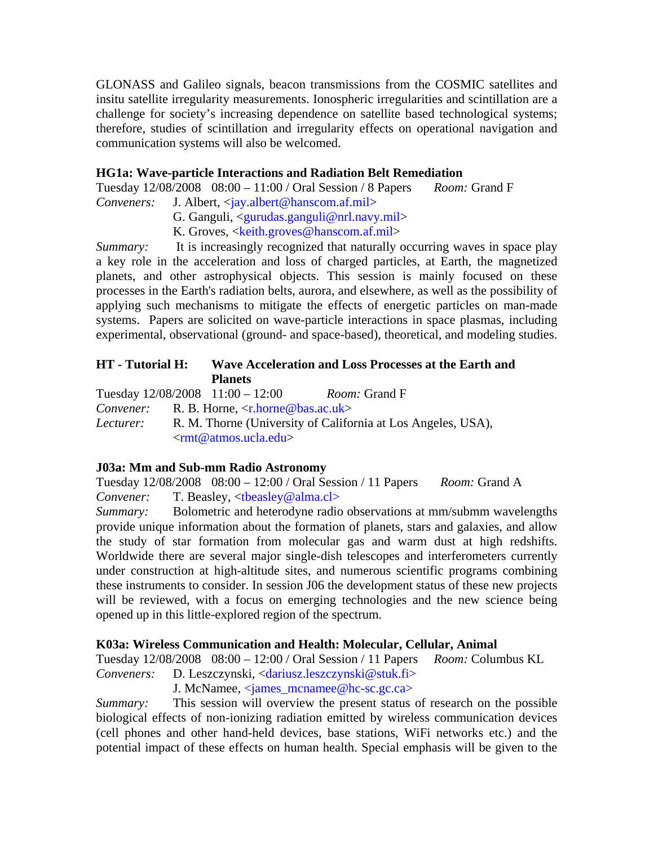GLONASS and Galileo signals, beacon transmissions from the COSMIC satellites and insitu satellite irregularity measurements. Ionospheric irregularities and scintillation are a challenge for society's increasing dependence on satellite based technological systems; therefore, studies of scintillation and irregularity effects on operational navigation and communication systems will also be welcomed.

## **HG1a: Wave-particle Interactions and Radiation Belt Remediation**

Tuesday 12/08/2008 08:00 – 11:00 / Oral Session / 8 Papers *Room:* Grand F *Conveners:* J. Albert, <jay.albert@hanscom.af.mil>

G. Ganguli, <gurudas.ganguli@nrl.navy.mil>

K. Groves, <keith.groves@hanscom.af.mil>

*Summary:* It is increasingly recognized that naturally occurring waves in space play a key role in the acceleration and loss of charged particles, at Earth, the magnetized planets, and other astrophysical objects. This session is mainly focused on these processes in the Earth's radiation belts, aurora, and elsewhere, as well as the possibility of applying such mechanisms to mitigate the effects of energetic particles on man-made systems. Papers are solicited on wave-particle interactions in space plasmas, including experimental, observational (ground- and space-based), theoretical, and modeling studies.

# **HT - Tutorial H: Wave Acceleration and Loss Processes at the Earth and Planets**

Tuesday 12/08/2008 11:00 – 12:00 *Room:* Grand F

*Convener:* R. B. Horne, <r.horne@bas.ac.uk>

*Lecturer:* R. M. Thorne (University of California at Los Angeles, USA), <rmt@atmos.ucla.edu>

# **J03a: Mm and Sub-mm Radio Astronomy**

Tuesday 12/08/2008 08:00 – 12:00 / Oral Session / 11 Papers *Room:* Grand A *Convener:* T. Beasley, <tbeasley@alma.cl>

*Summary:* Bolometric and heterodyne radio observations at mm/submm wavelengths provide unique information about the formation of planets, stars and galaxies, and allow the study of star formation from molecular gas and warm dust at high redshifts. Worldwide there are several major single-dish telescopes and interferometers currently under construction at high-altitude sites, and numerous scientific programs combining these instruments to consider. In session J06 the development status of these new projects will be reviewed, with a focus on emerging technologies and the new science being opened up in this little-explored region of the spectrum.

# **K03a: Wireless Communication and Health: Molecular, Cellular, Animal**

Tuesday 12/08/2008 08:00 – 12:00 / Oral Session / 11 Papers *Room:* Columbus KL *Conveners:* D. Leszczynski, <dariusz.leszczynski@stuk.fi>

J. McNamee, <james\_mcnamee@hc-sc.gc.ca>

*Summary:* This session will overview the present status of research on the possible biological effects of non-ionizing radiation emitted by wireless communication devices (cell phones and other hand-held devices, base stations, WiFi networks etc.) and the potential impact of these effects on human health. Special emphasis will be given to the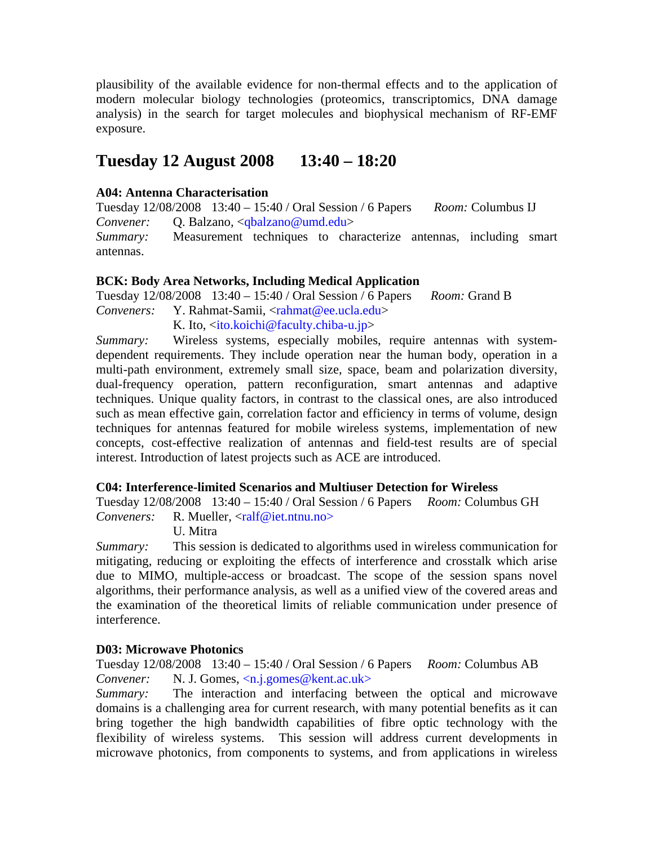plausibility of the available evidence for non-thermal effects and to the application of modern molecular biology technologies (proteomics, transcriptomics, DNA damage analysis) in the search for target molecules and biophysical mechanism of RF-EMF exposure.

# **Tuesday 12 August 2008 13:40 – 18:20**

## **A04: Antenna Characterisation**

Tuesday 12/08/2008 13:40 – 15:40 / Oral Session / 6 Papers *Room:* Columbus IJ *Convener:* Q. Balzano*,* <qbalzano@umd.edu>

*Summary:* Measurement techniques to characterize antennas, including smart antennas.

### **BCK: Body Area Networks, Including Medical Application**

Tuesday 12/08/2008 13:40 – 15:40 / Oral Session / 6 Papers *Room:* Grand B *Conveners:* Y. Rahmat-Samii, <rahmat@ee.ucla.edu>

K. Ito,  $\langle$ ito.koichi@faculty.chiba-u.jp>

*Summary:* Wireless systems, especially mobiles, require antennas with systemdependent requirements. They include operation near the human body, operation in a multi-path environment, extremely small size, space, beam and polarization diversity, dual-frequency operation, pattern reconfiguration, smart antennas and adaptive techniques. Unique quality factors, in contrast to the classical ones, are also introduced such as mean effective gain, correlation factor and efficiency in terms of volume, design techniques for antennas featured for mobile wireless systems, implementation of new concepts, cost-effective realization of antennas and field-test results are of special interest. Introduction of latest projects such as ACE are introduced.

### **C04: Interference-limited Scenarios and Multiuser Detection for Wireless**

Tuesday 12/08/2008 13:40 – 15:40 / Oral Session / 6 Papers *Room:* Columbus GH *Conveners:* R. Mueller, <ralf@iet.ntnu.no>

U. Mitra

*Summary:* This session is dedicated to algorithms used in wireless communication for mitigating, reducing or exploiting the effects of interference and crosstalk which arise due to MIMO, multiple-access or broadcast. The scope of the session spans novel algorithms, their performance analysis, as well as a unified view of the covered areas and the examination of the theoretical limits of reliable communication under presence of interference.

### **D03: Microwave Photonics**

Tuesday 12/08/2008 13:40 – 15:40 / Oral Session / 6 Papers *Room:* Columbus AB *Convener:* N. J. Gomes, <n.j.gomes@kent.ac.uk>

*Summary:* The interaction and interfacing between the optical and microwave domains is a challenging area for current research, with many potential benefits as it can bring together the high bandwidth capabilities of fibre optic technology with the flexibility of wireless systems. This session will address current developments in microwave photonics, from components to systems, and from applications in wireless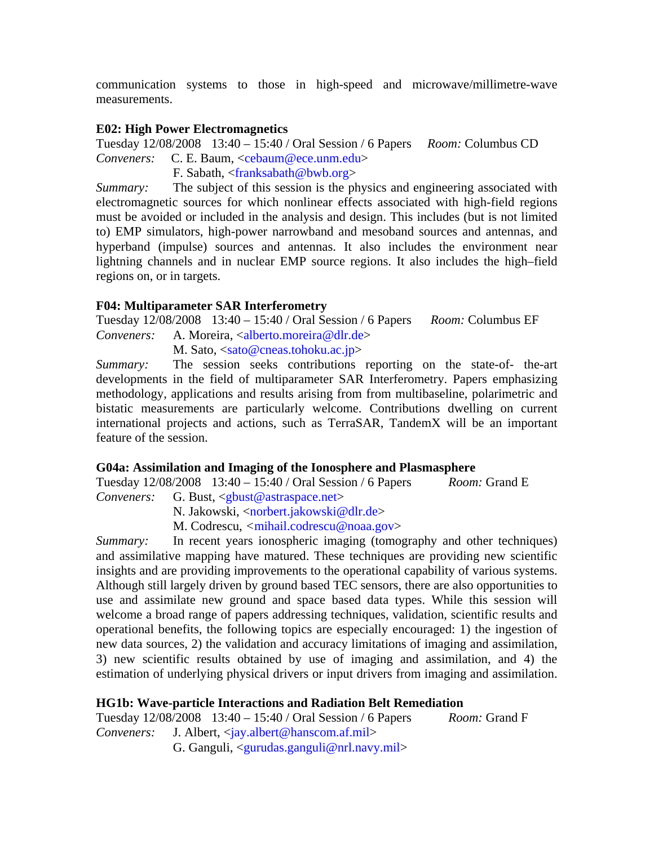communication systems to those in high-speed and microwave/millimetre-wave measurements.

### **E02: High Power Electromagnetics**

Tuesday 12/08/2008 13:40 – 15:40 / Oral Session / 6 Papers *Room:* Columbus CD *Conveners:* C. E. Baum, <cebaum@ece.unm.edu>

F. Sabath, <franksabath@bwb.org>

*Summary:* The subject of this session is the physics and engineering associated with electromagnetic sources for which nonlinear effects associated with high-field regions must be avoided or included in the analysis and design. This includes (but is not limited to) EMP simulators, high-power narrowband and mesoband sources and antennas, and hyperband (impulse) sources and antennas. It also includes the environment near lightning channels and in nuclear EMP source regions. It also includes the high–field regions on, or in targets.

# **F04: Multiparameter SAR Interferometry**

Tuesday 12/08/2008 13:40 – 15:40 / Oral Session / 6 Papers *Room:* Columbus EF *Conveners:* A. Moreira, <alberto.moreira@dlr.de>

M. Sato,  $\langle$ sato@cneas.tohoku.ac.jp>

*Summary:* The session seeks contributions reporting on the state-of- the-art developments in the field of multiparameter SAR Interferometry. Papers emphasizing methodology, applications and results arising from from multibaseline, polarimetric and bistatic measurements are particularly welcome. Contributions dwelling on current international projects and actions, such as TerraSAR, TandemX will be an important feature of the session.

### **G04a: Assimilation and Imaging of the Ionosphere and Plasmasphere**

Tuesday 12/08/2008 13:40 – 15:40 / Oral Session / 6 Papers *Room:* Grand E *Conveners:* G. Bust, <gbust@astraspace.net>

N. Jakowski, <norbert.jakowski@dlr.de>

M. Codrescu, *<*mihail.codrescu@noaa.gov>

*Summary:* In recent years ionospheric imaging (tomography and other techniques) and assimilative mapping have matured. These techniques are providing new scientific insights and are providing improvements to the operational capability of various systems. Although still largely driven by ground based TEC sensors, there are also opportunities to use and assimilate new ground and space based data types. While this session will welcome a broad range of papers addressing techniques, validation, scientific results and operational benefits, the following topics are especially encouraged: 1) the ingestion of new data sources, 2) the validation and accuracy limitations of imaging and assimilation, 3) new scientific results obtained by use of imaging and assimilation, and 4) the estimation of underlying physical drivers or input drivers from imaging and assimilation.

### **HG1b: Wave-particle Interactions and Radiation Belt Remediation**

Tuesday 12/08/2008 13:40 – 15:40 / Oral Session / 6 Papers *Room:* Grand F *Conveners:* J. Albert, <jay.albert@hanscom.af.mil> G. Ganguli, <gurudas.ganguli@nrl.navy.mil>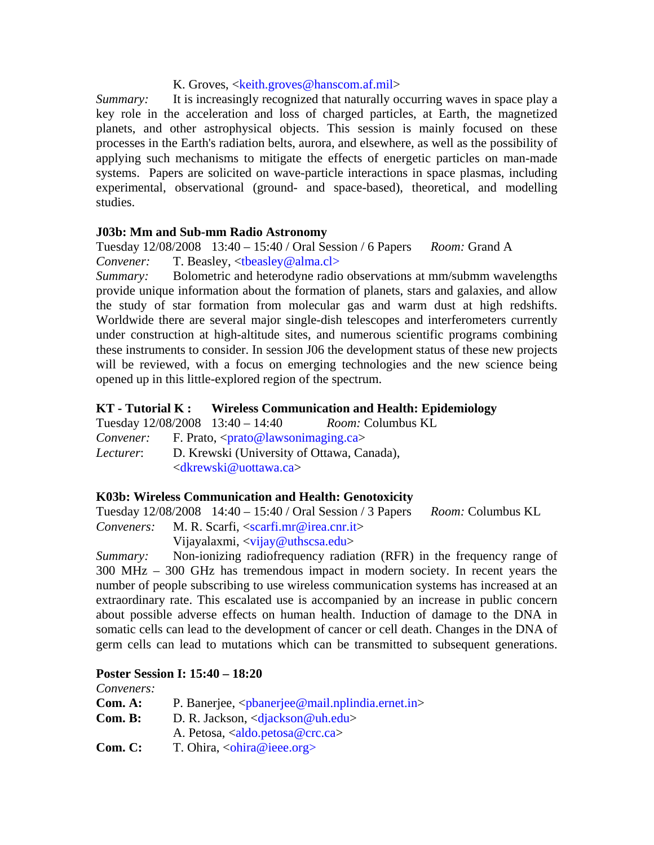## K. Groves, <keith.groves@hanscom.af.mil>

*Summary:* It is increasingly recognized that naturally occurring waves in space play a key role in the acceleration and loss of charged particles, at Earth, the magnetized planets, and other astrophysical objects. This session is mainly focused on these processes in the Earth's radiation belts, aurora, and elsewhere, as well as the possibility of applying such mechanisms to mitigate the effects of energetic particles on man-made systems. Papers are solicited on wave-particle interactions in space plasmas, including experimental, observational (ground- and space-based), theoretical, and modelling studies.

### **J03b: Mm and Sub-mm Radio Astronomy**

Tuesday 12/08/2008 13:40 – 15:40 / Oral Session / 6 Papers *Room:* Grand A *Convener:* T. Beasley, <tbeasley@alma.cl>

*Summary:* Bolometric and heterodyne radio observations at mm/submm wavelengths provide unique information about the formation of planets, stars and galaxies, and allow the study of star formation from molecular gas and warm dust at high redshifts. Worldwide there are several major single-dish telescopes and interferometers currently under construction at high-altitude sites, and numerous scientific programs combining these instruments to consider. In session J06 the development status of these new projects will be reviewed, with a focus on emerging technologies and the new science being opened up in this little-explored region of the spectrum.

## **KT - Tutorial K : Wireless Communication and Health: Epidemiology**

Tuesday 12/08/2008 13:40 – 14:40 *Room:* Columbus KL

*Convener:* F. Prato, <prato@lawsonimaging.ca>

*Lecturer*: D. Krewski (University of Ottawa, Canada), <dkrewski@uottawa.ca>

### **K03b: Wireless Communication and Health: Genotoxicity**

Tuesday 12/08/2008 14:40 – 15:40 / Oral Session / 3 Papers *Room:* Columbus KL

*Conveners:* M. R. Scarfi, <scarfi.mr@irea.cnr.it>

Vijayalaxmi, <vijay@uthscsa.edu>

*Summary:* Non-ionizing radiofrequency radiation (RFR) in the frequency range of 300 MHz – 300 GHz has tremendous impact in modern society. In recent years the number of people subscribing to use wireless communication systems has increased at an extraordinary rate. This escalated use is accompanied by an increase in public concern about possible adverse effects on human health. Induction of damage to the DNA in somatic cells can lead to the development of cancer or cell death. Changes in the DNA of germ cells can lead to mutations which can be transmitted to subsequent generations.

### **Poster Session I: 15:40 – 18:20**

*Conveners:* 

| Com. A: | P. Banerjee, $\langle \text{pbanerjee}\,\mathcal{Q}\,\text{mail.nplindia.ernet.in}\rangle$ |
|---------|--------------------------------------------------------------------------------------------|
|         |                                                                                            |

- **Com. B:** D. R. Jackson, <djackson@uh.edu> A. Petosa, <aldo.petosa@crc.ca>
- **Com. C:** T. Ohira, <ohira@ieee.org>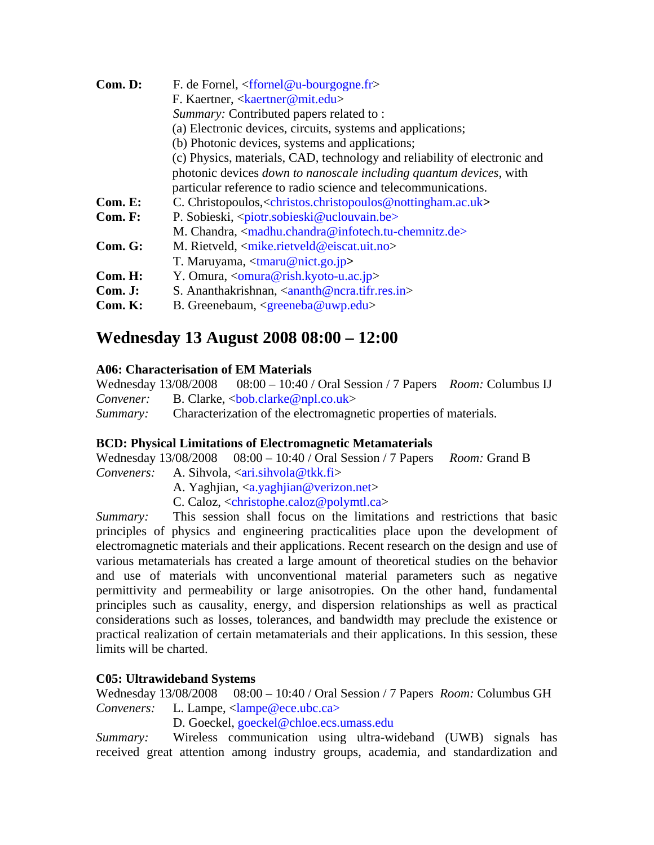| Com. D: | F. de Fornel, $\langle$ ffornel@u-bourgogne.fr>                                                       |  |  |  |
|---------|-------------------------------------------------------------------------------------------------------|--|--|--|
|         | F. Kaertner, <kaertner@mit.edu></kaertner@mit.edu>                                                    |  |  |  |
|         | Summary: Contributed papers related to:                                                               |  |  |  |
|         | (a) Electronic devices, circuits, systems and applications;                                           |  |  |  |
|         | (b) Photonic devices, systems and applications;                                                       |  |  |  |
|         | (c) Physics, materials, CAD, technology and reliability of electronic and                             |  |  |  |
|         | photonic devices <i>down to nanoscale including quantum devices</i> , with                            |  |  |  |
|         | particular reference to radio science and telecommunications.                                         |  |  |  |
| Com. E: | C. Christopoulos, <christos.christopoulos@nottingham.ac.uk></christos.christopoulos@nottingham.ac.uk> |  |  |  |
| Com. F: | P. Sobieski, <piotr.sobieski@uclouvain.be></piotr.sobieski@uclouvain.be>                              |  |  |  |
|         | M. Chandra, $\langle$ madhu.chandra@infotech.tu-chemnitz.de>                                          |  |  |  |
| Com. G: | M. Rietveld, <mike.rietveld@eiscat.uit.no></mike.rietveld@eiscat.uit.no>                              |  |  |  |
|         | T. Maruyama, $\langle \text{tmaru}\,\emptyset \text{nict.go.jp} \rangle$                              |  |  |  |
| Com.H:  | Y. Omura, $\langle$ omura@rish.kyoto-u.ac.jp>                                                         |  |  |  |
| Com. J: | S. Ananthakrishnan, $\langle$ ananth@ncra.tifr.res.in>                                                |  |  |  |
| Com. K: | B. Greenebaum, $\langle$ greeneba@uwp.edu>                                                            |  |  |  |

# **Wednesday 13 August 2008 08:00 – 12:00**

## **A06: Characterisation of EM Materials**

Wednesday 13/08/2008 08:00 – 10:40 / Oral Session / 7 Papers *Room:* Columbus IJ *Convener:* B. Clarke, <br/>bob.clarke@npl.co.uk> *Summary:* Characterization of the electromagnetic properties of materials.

# **BCD: Physical Limitations of Electromagnetic Metamaterials**

Wednesday 13/08/2008 08:00 – 10:40 / Oral Session / 7 Papers *Room:* Grand B *Conveners:* A. Sihvola, <ari.sihvola@tkk.fi> A. Yaghjian, <a.yaghjian@verizon.net> C. Caloz, <christophe.caloz@polymtl.ca>

*Summary:* This session shall focus on the limitations and restrictions that basic principles of physics and engineering practicalities place upon the development of electromagnetic materials and their applications. Recent research on the design and use of various metamaterials has created a large amount of theoretical studies on the behavior and use of materials with unconventional material parameters such as negative permittivity and permeability or large anisotropies. On the other hand, fundamental principles such as causality, energy, and dispersion relationships as well as practical considerations such as losses, tolerances, and bandwidth may preclude the existence or practical realization of certain metamaterials and their applications. In this session, these limits will be charted.

# **C05: Ultrawideband Systems**

Wednesday 13/08/2008 08:00 – 10:40 / Oral Session / 7 Papers *Room:* Columbus GH *Conveners:* L. Lampe, <lampe@ece.ubc.ca>

D. Goeckel, goeckel@chloe.ecs.umass.edu

*Summary:* Wireless communication using ultra-wideband (UWB) signals has received great attention among industry groups, academia, and standardization and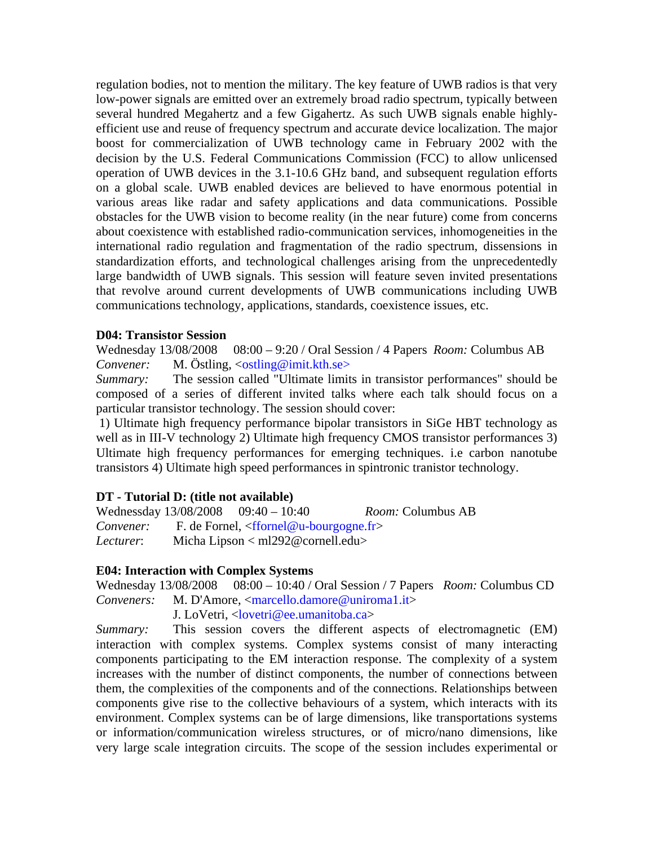regulation bodies, not to mention the military. The key feature of UWB radios is that very low-power signals are emitted over an extremely broad radio spectrum, typically between several hundred Megahertz and a few Gigahertz. As such UWB signals enable highlyefficient use and reuse of frequency spectrum and accurate device localization. The major boost for commercialization of UWB technology came in February 2002 with the decision by the U.S. Federal Communications Commission (FCC) to allow unlicensed operation of UWB devices in the 3.1-10.6 GHz band, and subsequent regulation efforts on a global scale. UWB enabled devices are believed to have enormous potential in various areas like radar and safety applications and data communications. Possible obstacles for the UWB vision to become reality (in the near future) come from concerns about coexistence with established radio-communication services, inhomogeneities in the international radio regulation and fragmentation of the radio spectrum, dissensions in standardization efforts, and technological challenges arising from the unprecedentedly large bandwidth of UWB signals. This session will feature seven invited presentations that revolve around current developments of UWB communications including UWB communications technology, applications, standards, coexistence issues, etc.

#### **D04: Transistor Session**

Wednesday 13/08/2008 08:00 – 9:20 / Oral Session / 4 Papers *Room:* Columbus AB *Convener:* M. Östling, <ostling@imit.kth.se>

*Summary:* The session called "Ultimate limits in transistor performances" should be composed of a series of different invited talks where each talk should focus on a particular transistor technology. The session should cover:

1) Ultimate high frequency performance bipolar transistors in SiGe HBT technology as well as in III-V technology 2) Ultimate high frequency CMOS transistor performances 3) Ultimate high frequency performances for emerging techniques. i.e carbon nanotube transistors 4) Ultimate high speed performances in spintronic tranistor technology.

### **DT - Tutorial D: (title not available)**

Wednessday 13/08/2008 09:40 – 10:40 *Room:* Columbus AB *Convener:* F. de Fornel, <ffornel@u-bourgogne.fr> *Lecturer*: Micha Lipson < ml292@cornell.edu>

#### **E04: Interaction with Complex Systems**

Wednesday 13/08/2008 08:00 – 10:40 / Oral Session / 7 Papers *Room:* Columbus CD *Conveners:* M. D'Amore, <marcello.damore@uniroma1.it>

J. LoVetri, <lovetri@ee.umanitoba.ca>

*Summary:* This session covers the different aspects of electromagnetic (EM) interaction with complex systems. Complex systems consist of many interacting components participating to the EM interaction response. The complexity of a system increases with the number of distinct components, the number of connections between them, the complexities of the components and of the connections. Relationships between components give rise to the collective behaviours of a system, which interacts with its environment. Complex systems can be of large dimensions, like transportations systems or information/communication wireless structures, or of micro/nano dimensions, like very large scale integration circuits. The scope of the session includes experimental or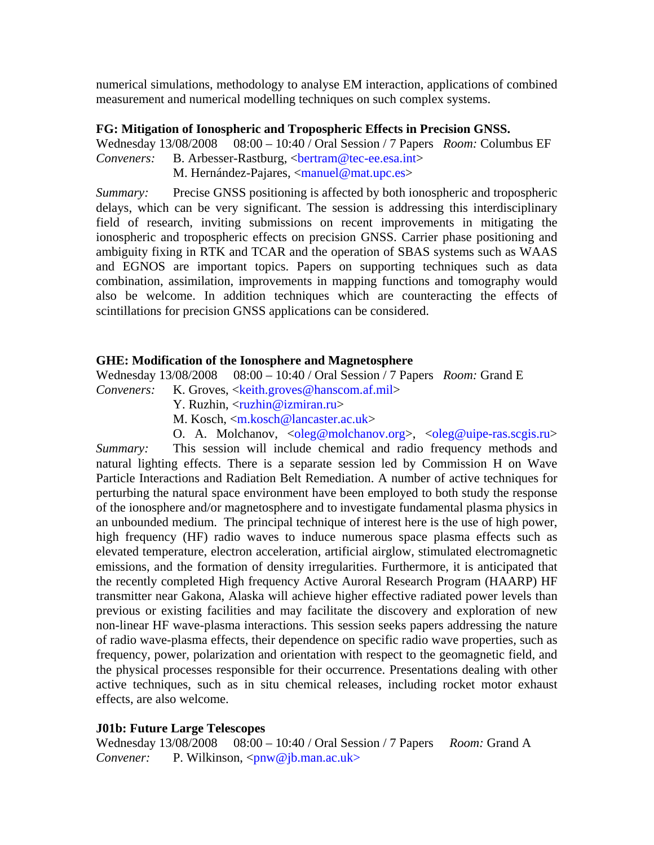numerical simulations, methodology to analyse EM interaction, applications of combined measurement and numerical modelling techniques on such complex systems.

### **FG: Mitigation of Ionospheric and Tropospheric Effects in Precision GNSS.**

Wednesday 13/08/2008 08:00 – 10:40 / Oral Session / 7 Papers *Room:* Columbus EF *Conveners:* B. Arbesser-Rastburg, <br/>bertram@tec-ee.esa.int>

M. Hernández-Pajares, <manuel@mat.upc.es>

*Summary:* Precise GNSS positioning is affected by both ionospheric and tropospheric delays, which can be very significant. The session is addressing this interdisciplinary field of research, inviting submissions on recent improvements in mitigating the ionospheric and tropospheric effects on precision GNSS. Carrier phase positioning and ambiguity fixing in RTK and TCAR and the operation of SBAS systems such as WAAS and EGNOS are important topics. Papers on supporting techniques such as data combination, assimilation, improvements in mapping functions and tomography would also be welcome. In addition techniques which are counteracting the effects of scintillations for precision GNSS applications can be considered.

## **GHE: Modification of the Ionosphere and Magnetosphere**

Wednesday 13/08/2008 08:00 – 10:40 / Oral Session / 7 Papers *Room:* Grand E

*Conveners:* K. Groves, <keith.groves@hanscom.af.mil>

- Y. Ruzhin, <ruzhin@izmiran.ru>
- M. Kosch, <m.kosch@lancaster.ac.uk>
- O. A. Molchanov,  $\langle$ oleg@molchanov.org>,  $\langle$ oleg@uipe-ras.scgis.ru>

*Summary:* This session will include chemical and radio frequency methods and natural lighting effects. There is a separate session led by Commission H on Wave Particle Interactions and Radiation Belt Remediation. A number of active techniques for perturbing the natural space environment have been employed to both study the response of the ionosphere and/or magnetosphere and to investigate fundamental plasma physics in an unbounded medium. The principal technique of interest here is the use of high power, high frequency (HF) radio waves to induce numerous space plasma effects such as elevated temperature, electron acceleration, artificial airglow, stimulated electromagnetic emissions, and the formation of density irregularities. Furthermore, it is anticipated that the recently completed High frequency Active Auroral Research Program (HAARP) HF transmitter near Gakona, Alaska will achieve higher effective radiated power levels than previous or existing facilities and may facilitate the discovery and exploration of new non-linear HF wave-plasma interactions. This session seeks papers addressing the nature of radio wave-plasma effects, their dependence on specific radio wave properties, such as frequency, power, polarization and orientation with respect to the geomagnetic field, and the physical processes responsible for their occurrence. Presentations dealing with other active techniques, such as in situ chemical releases, including rocket motor exhaust effects, are also welcome.

# **J01b: Future Large Telescopes**

Wednesday 13/08/2008 08:00 – 10:40 / Oral Session / 7 Papers *Room:* Grand A *Convener:* P. Wilkinson, <pnw@jb.man.ac.uk>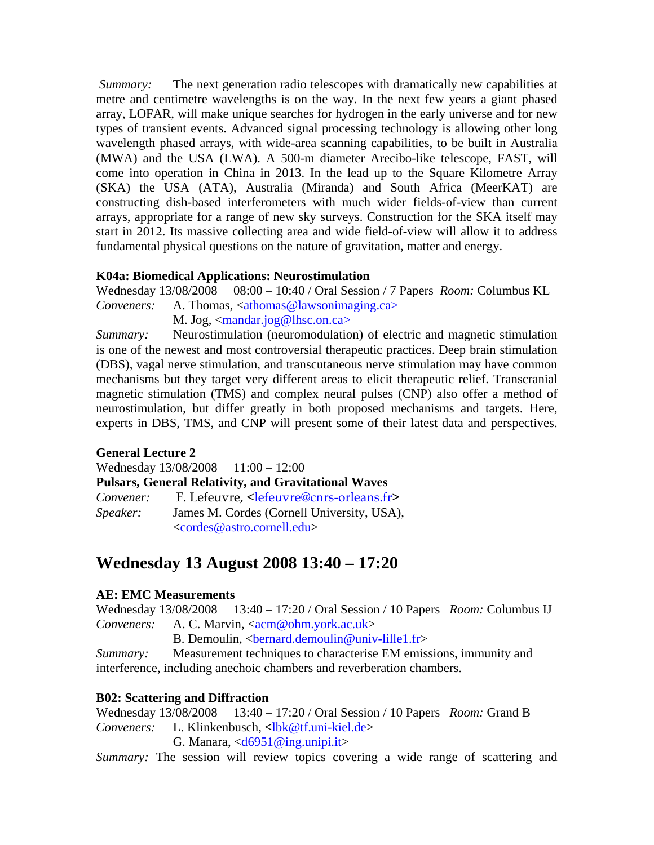*Summary:* The next generation radio telescopes with dramatically new capabilities at metre and centimetre wavelengths is on the way. In the next few years a giant phased array, LOFAR, will make unique searches for hydrogen in the early universe and for new types of transient events. Advanced signal processing technology is allowing other long wavelength phased arrays, with wide-area scanning capabilities, to be built in Australia (MWA) and the USA (LWA). A 500-m diameter Arecibo-like telescope, FAST, will come into operation in China in 2013. In the lead up to the Square Kilometre Array (SKA) the USA (ATA), Australia (Miranda) and South Africa (MeerKAT) are constructing dish-based interferometers with much wider fields-of-view than current arrays, appropriate for a range of new sky surveys. Construction for the SKA itself may start in 2012. Its massive collecting area and wide field-of-view will allow it to address fundamental physical questions on the nature of gravitation, matter and energy.

# **K04a: Biomedical Applications: Neurostimulation**

Wednesday 13/08/2008 08:00 – 10:40 / Oral Session / 7 Papers *Room:* Columbus KL *Conveners:* A. Thomas, <athomas@lawsonimaging.ca> M. Jog, <mandar.jog@lhsc.on.ca>

*Summary:* Neurostimulation (neuromodulation) of electric and magnetic stimulation is one of the newest and most controversial therapeutic practices. Deep brain stimulation (DBS), vagal nerve stimulation, and transcutaneous nerve stimulation may have common mechanisms but they target very different areas to elicit therapeutic relief. Transcranial magnetic stimulation (TMS) and complex neural pulses (CNP) also offer a method of neurostimulation, but differ greatly in both proposed mechanisms and targets. Here, experts in DBS, TMS, and CNP will present some of their latest data and perspectives.

# **General Lecture 2**

Wednesday 13/08/2008 11:00 - 12:00 **Pulsars, General Relativity, and Gravitational Waves**  Convener: F. Lefeuvre, <lefeuvre@cnrs-orleans.fr> *Speaker:* James M. Cordes (Cornell University, USA), <cordes@astro.cornell.edu>

# **Wednesday 13 August 2008 13:40 – 17:20**

# **AE: EMC Measurements**

Wednesday 13/08/2008 13:40 – 17:20 / Oral Session / 10 Papers *Room:* Columbus IJ *Conveners:* A. C. Marvin, <acm@ohm.york.ac.uk>

B. Demoulin,  $\epsilon$ bernard.demoulin@univ-lille1.fr>

*Summary:* Measurement techniques to characterise EM emissions, immunity and interference, including anechoic chambers and reverberation chambers.

# **B02: Scattering and Diffraction**

Wednesday 13/08/2008 13:40 – 17:20 / Oral Session / 10 Papers *Room:* Grand B *Conveners:* L. Klinkenbusch, **<**lbk@tf.uni-kiel.de>

G. Manara,  $\langle d6951@ing.$ unipi.it>

*Summary:* The session will review topics covering a wide range of scattering and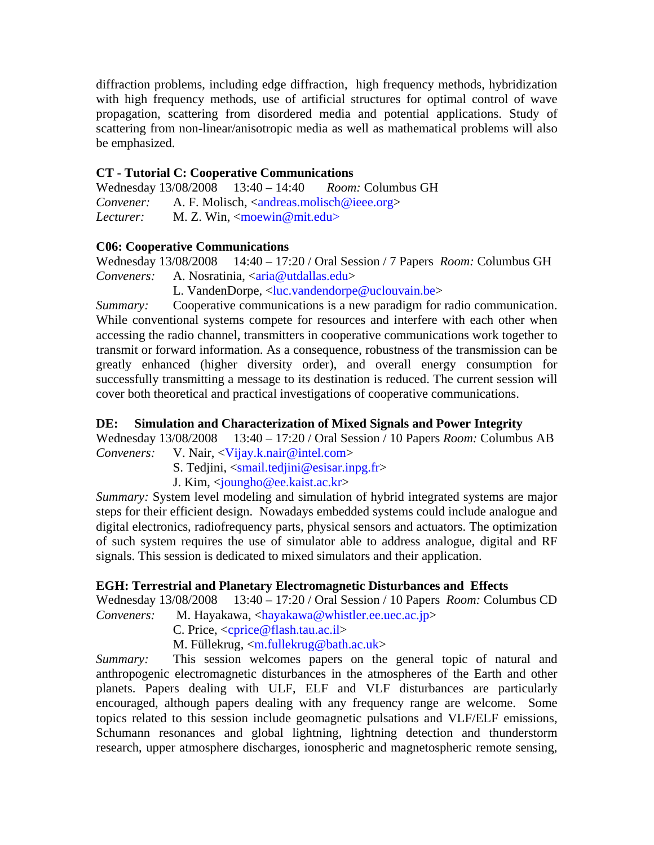diffraction problems, including edge diffraction, high frequency methods, hybridization with high frequency methods, use of artificial structures for optimal control of wave propagation, scattering from disordered media and potential applications. Study of scattering from non-linear/anisotropic media as well as mathematical problems will also be emphasized.

# **CT - Tutorial C: Cooperative Communications**

Wednesday 13/08/2008 13:40 – 14:40 *Room:* Columbus GH *Convener:* A. F. Molisch, <andreas.molisch@ieee.org> *Lecturer:* M. Z. Win, <moewin@mit.edu>

# **C06: Cooperative Communications**

Wednesday 13/08/2008 14:40 – 17:20 / Oral Session / 7 Papers *Room:* Columbus GH *Conveners:* A. Nosratinia, <**aria@utdallas.edu>** 

L. VandenDorpe, <luc.vandendorpe@uclouvain.be>

*Summary:* Cooperative communications is a new paradigm for radio communication. While conventional systems compete for resources and interfere with each other when accessing the radio channel, transmitters in cooperative communications work together to transmit or forward information. As a consequence, robustness of the transmission can be greatly enhanced (higher diversity order), and overall energy consumption for successfully transmitting a message to its destination is reduced. The current session will cover both theoretical and practical investigations of cooperative communications.

# **DE: Simulation and Characterization of Mixed Signals and Power Integrity**

Wednesday 13/08/2008 13:40 – 17:20 / Oral Session / 10 Papers *Room:* Columbus AB *Conveners:* V. Nair, <Vijay.k.nair@intel.com>

S. Tedjini, <smail.tedjini@esisar.inpg.fr>

J. Kim, <joungho@ee.kaist.ac.kr>

*Summary:* System level modeling and simulation of hybrid integrated systems are major steps for their efficient design. Nowadays embedded systems could include analogue and digital electronics, radiofrequency parts, physical sensors and actuators. The optimization of such system requires the use of simulator able to address analogue, digital and RF signals. This session is dedicated to mixed simulators and their application.

# **EGH: Terrestrial and Planetary Electromagnetic Disturbances and Effects**

Wednesday 13/08/2008 13:40 – 17:20 / Oral Session / 10 Papers *Room:* Columbus CD

*Conveners:* M. Hayakawa, <hayakawa@whistler.ee.uec.ac.jp>

C. Price, <cprice@flash.tau.ac.il>

M. Füllekrug, <m.fullekrug@bath.ac.uk>

*Summary:* This session welcomes papers on the general topic of natural and anthropogenic electromagnetic disturbances in the atmospheres of the Earth and other planets. Papers dealing with ULF, ELF and VLF disturbances are particularly encouraged, although papers dealing with any frequency range are welcome. Some topics related to this session include geomagnetic pulsations and VLF/ELF emissions, Schumann resonances and global lightning, lightning detection and thunderstorm research, upper atmosphere discharges, ionospheric and magnetospheric remote sensing,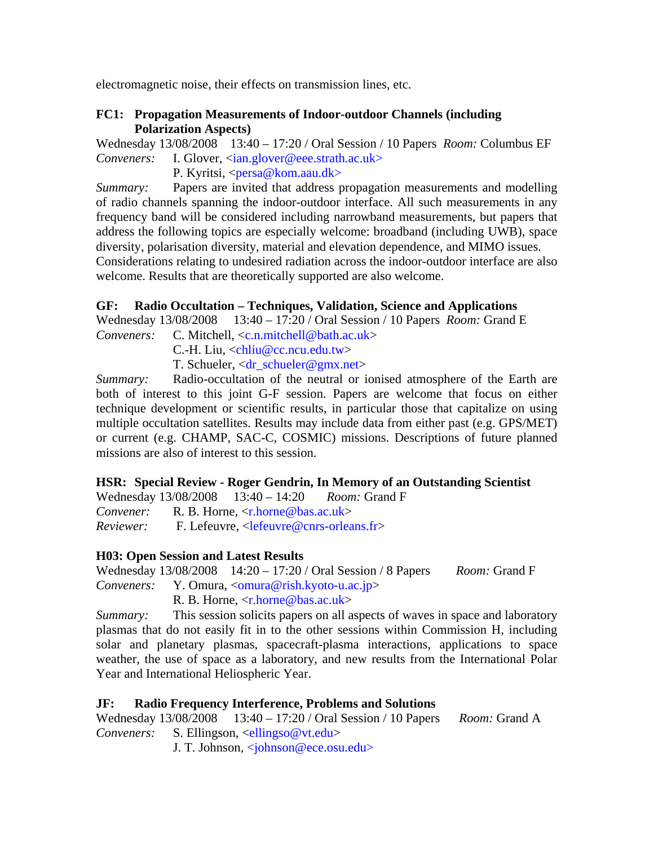electromagnetic noise, their effects on transmission lines, etc.

## **FC1: Propagation Measurements of Indoor-outdoor Channels (including Polarization Aspects)**

Wednesday 13/08/2008 13:40 – 17:20 / Oral Session / 10 Papers *Room:* Columbus EF *Conveners:* I. Glover, <ian.glover@eee.strath.ac.uk>

P. Kyritsi, <persa@kom.aau.dk>

*Summary:* Papers are invited that address propagation measurements and modelling of radio channels spanning the indoor-outdoor interface. All such measurements in any frequency band will be considered including narrowband measurements, but papers that address the following topics are especially welcome: broadband (including UWB), space diversity, polarisation diversity, material and elevation dependence, and MIMO issues. Considerations relating to undesired radiation across the indoor-outdoor interface are also welcome. Results that are theoretically supported are also welcome.

# **GF: Radio Occultation – Techniques, Validation, Science and Applications**

Wednesday 13/08/2008 13:40 – 17:20 / Oral Session / 10 Papers *Room:* Grand E

*Conveners:* C. Mitchell, <c.n.mitchell@bath.ac.uk>

C.-H. Liu, <chliu@cc.ncu.edu.tw>

T. Schueler, <dr\_schueler@gmx.net>

*Summary:* Radio-occultation of the neutral or ionised atmosphere of the Earth are both of interest to this joint G-F session. Papers are welcome that focus on either technique development or scientific results, in particular those that capitalize on using multiple occultation satellites. Results may include data from either past (e.g. GPS/MET) or current (e.g. CHAMP, SAC-C, COSMIC) missions. Descriptions of future planned missions are also of interest to this session.

# **HSR: Special Review - Roger Gendrin, In Memory of an Outstanding Scientist**

Wednesday 13/08/2008 13:40 – 14:20 *Room:* Grand F

*Convener:* R. B. Horne, <r.horne@bas.ac.uk>

*Reviewer:* F. Lefeuvre, <lefeuvre@cnrs-orleans.fr>

# **H03: Open Session and Latest Results**

Wednesday 13/08/2008 14:20 – 17:20 / Oral Session / 8 Papers *Room:* Grand F *Conveners:* Y. Omura, <<u>omura@rish.kyoto-u.ac.jp</u>>

R. B. Horne, <r.horne@bas.ac.uk>

*Summary:* This session solicits papers on all aspects of waves in space and laboratory plasmas that do not easily fit in to the other sessions within Commission H, including solar and planetary plasmas, spacecraft-plasma interactions, applications to space weather, the use of space as a laboratory, and new results from the International Polar Year and International Heliospheric Year.

# **JF: Radio Frequency Interference, Problems and Solutions**

Wednesday 13/08/2008 13:40 – 17:20 / Oral Session / 10 Papers *Room:* Grand A *Conveners:* S. Ellingson, <ellingso@vt.edu>

J. T. Johnson, <johnson@ece.osu.edu>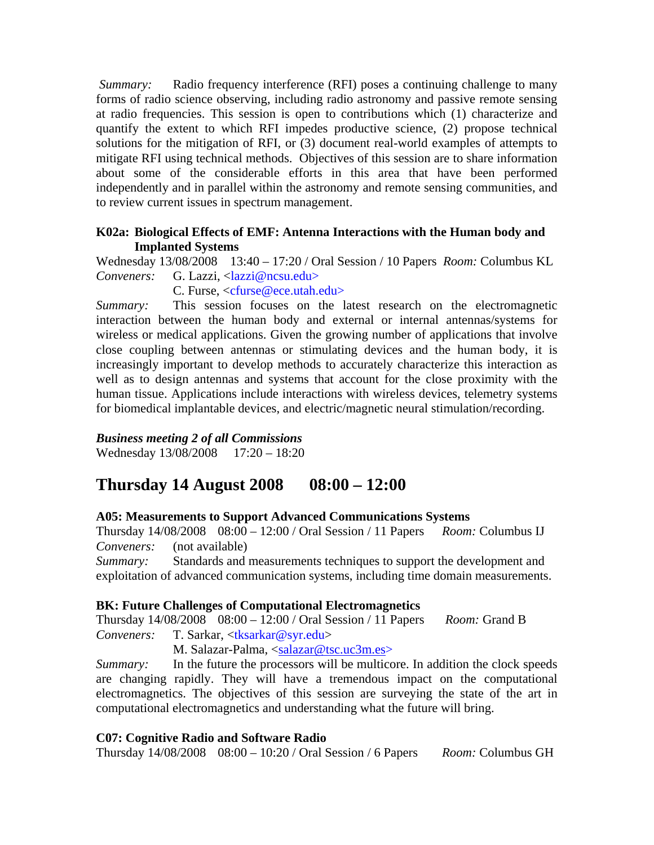*Summary:* Radio frequency interference (RFI) poses a continuing challenge to many forms of radio science observing, including radio astronomy and passive remote sensing at radio frequencies. This session is open to contributions which (1) characterize and quantify the extent to which RFI impedes productive science, (2) propose technical solutions for the mitigation of RFI, or (3) document real-world examples of attempts to mitigate RFI using technical methods. Objectives of this session are to share information about some of the considerable efforts in this area that have been performed independently and in parallel within the astronomy and remote sensing communities, and to review current issues in spectrum management.

### **K02a: Biological Effects of EMF: Antenna Interactions with the Human body and Implanted Systems**

Wednesday 13/08/2008 13:40 – 17:20 / Oral Session / 10 Papers *Room:* Columbus KL Conveners: G. Lazzi, <lazzi@ncsu.edu>

C. Furse, <cfurse@ece.utah.edu>

*Summary:* This session focuses on the latest research on the electromagnetic interaction between the human body and external or internal antennas/systems for wireless or medical applications. Given the growing number of applications that involve close coupling between antennas or stimulating devices and the human body, it is increasingly important to develop methods to accurately characterize this interaction as well as to design antennas and systems that account for the close proximity with the human tissue. Applications include interactions with wireless devices, telemetry systems for biomedical implantable devices, and electric/magnetic neural stimulation/recording.

# *Business meeting 2 of all Commissions*

Wednesday 13/08/2008 17:20 – 18:20

# **Thursday 14 August 2008 08:00 – 12:00**

# **A05: Measurements to Support Advanced Communications Systems**

Thursday 14/08/2008 08:00 – 12:00 / Oral Session / 11 Papers *Room:* Columbus IJ *Conveners:* (not available)

*Summary:* Standards and measurements techniques to support the development and exploitation of advanced communication systems, including time domain measurements.

# **BK: Future Challenges of Computational Electromagnetics**

Thursday 14/08/2008 08:00 – 12:00 / Oral Session / 11 Papers *Room:* Grand B *Conveners:* T. Sarkar, <tksarkar@syr.edu>

M. Salazar-Palma, <salazar@tsc.uc3m.es>

*Summary:* In the future the processors will be multicore. In addition the clock speeds are changing rapidly. They will have a tremendous impact on the computational electromagnetics. The objectives of this session are surveying the state of the art in computational electromagnetics and understanding what the future will bring.

### **C07: Cognitive Radio and Software Radio**

Thursday 14/08/2008 08:00 – 10:20 / Oral Session / 6 Papers *Room:* Columbus GH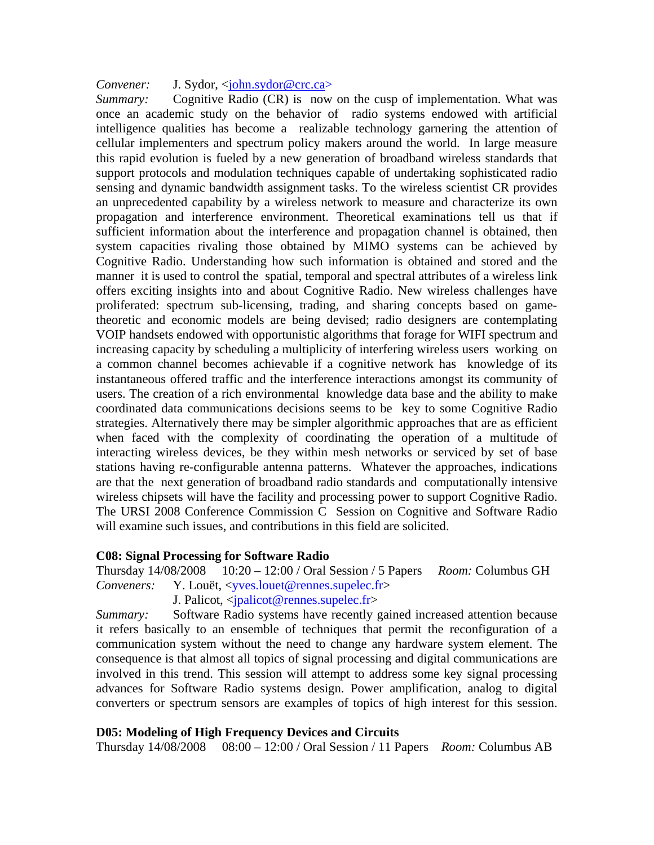### *Convener:* J. Sydor, <john.sydor@crc.ca>

*Summary:* Cognitive Radio (CR) is now on the cusp of implementation. What was once an academic study on the behavior of radio systems endowed with artificial intelligence qualities has become a realizable technology garnering the attention of cellular implementers and spectrum policy makers around the world. In large measure this rapid evolution is fueled by a new generation of broadband wireless standards that support protocols and modulation techniques capable of undertaking sophisticated radio sensing and dynamic bandwidth assignment tasks. To the wireless scientist CR provides an unprecedented capability by a wireless network to measure and characterize its own propagation and interference environment. Theoretical examinations tell us that if sufficient information about the interference and propagation channel is obtained, then system capacities rivaling those obtained by MIMO systems can be achieved by Cognitive Radio. Understanding how such information is obtained and stored and the manner it is used to control the spatial, temporal and spectral attributes of a wireless link offers exciting insights into and about Cognitive Radio. New wireless challenges have proliferated: spectrum sub-licensing, trading, and sharing concepts based on gametheoretic and economic models are being devised; radio designers are contemplating VOIP handsets endowed with opportunistic algorithms that forage for WIFI spectrum and increasing capacity by scheduling a multiplicity of interfering wireless users working on a common channel becomes achievable if a cognitive network has knowledge of its instantaneous offered traffic and the interference interactions amongst its community of users. The creation of a rich environmental knowledge data base and the ability to make coordinated data communications decisions seems to be key to some Cognitive Radio strategies. Alternatively there may be simpler algorithmic approaches that are as efficient when faced with the complexity of coordinating the operation of a multitude of interacting wireless devices, be they within mesh networks or serviced by set of base stations having re-configurable antenna patterns. Whatever the approaches, indications are that the next generation of broadband radio standards and computationally intensive wireless chipsets will have the facility and processing power to support Cognitive Radio. The URSI 2008 Conference Commission C Session on Cognitive and Software Radio will examine such issues, and contributions in this field are solicited.

### **C08: Signal Processing for Software Radio**

Thursday 14/08/2008 10:20 – 12:00 / Oral Session / 5 Papers *Room:* Columbus GH *Conveners:* Y. Louët, <yves.louet@rennes.supelec.fr>

J. Palicot, <jpalicot@rennes.supelec.fr>

*Summary:* Software Radio systems have recently gained increased attention because it refers basically to an ensemble of techniques that permit the reconfiguration of a communication system without the need to change any hardware system element. The consequence is that almost all topics of signal processing and digital communications are involved in this trend. This session will attempt to address some key signal processing advances for Software Radio systems design. Power amplification, analog to digital converters or spectrum sensors are examples of topics of high interest for this session.

### **D05: Modeling of High Frequency Devices and Circuits**

Thursday 14/08/2008 08:00 – 12:00 / Oral Session / 11 Papers *Room:* Columbus AB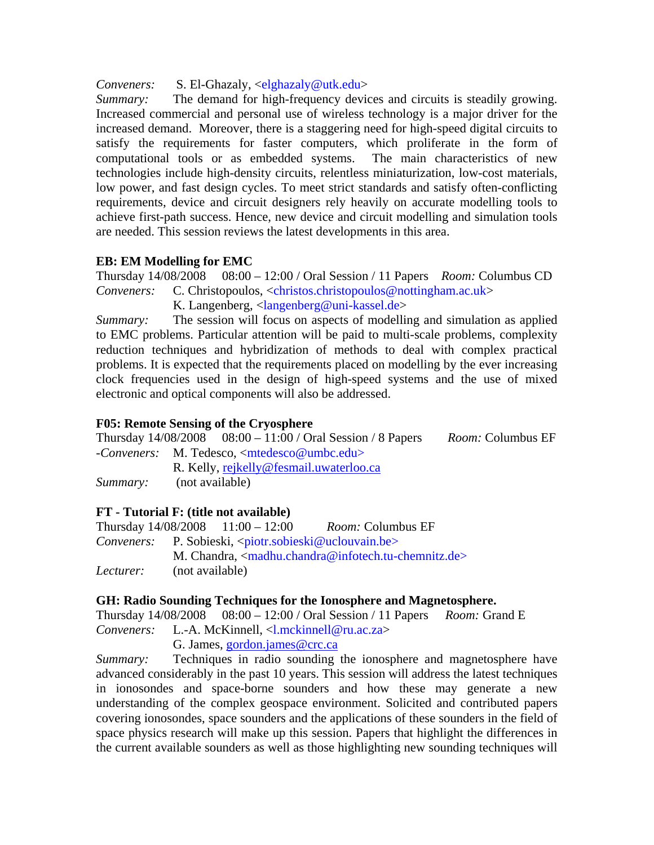*Conveners:* S. El-Ghazaly, <elghazaly@utk.edu>

*Summary:* The demand for high-frequency devices and circuits is steadily growing. Increased commercial and personal use of wireless technology is a major driver for the increased demand. Moreover, there is a staggering need for high-speed digital circuits to satisfy the requirements for faster computers, which proliferate in the form of computational tools or as embedded systems. The main characteristics of new technologies include high-density circuits, relentless miniaturization, low-cost materials, low power, and fast design cycles. To meet strict standards and satisfy often-conflicting requirements, device and circuit designers rely heavily on accurate modelling tools to achieve first-path success. Hence, new device and circuit modelling and simulation tools are needed. This session reviews the latest developments in this area.

# **EB: EM Modelling for EMC**

Thursday 14/08/2008 08:00 – 12:00 / Oral Session / 11 Papers *Room:* Columbus CD *Conveners:* C. Christopoulos, <christos.christopoulos@nottingham.ac.uk>

K. Langenberg,  $\langle \text{language} | \omega \rangle$ 

*Summary:* The session will focus on aspects of modelling and simulation as applied to EMC problems. Particular attention will be paid to multi-scale problems, complexity reduction techniques and hybridization of methods to deal with complex practical problems. It is expected that the requirements placed on modelling by the ever increasing clock frequencies used in the design of high-speed systems and the use of mixed electronic and optical components will also be addressed.

# **F05: Remote Sensing of the Cryosphere**

Thursday 14/08/2008 08:00 – 11:00 / Oral Session / 8 Papers *Room:* Columbus EF *-Conveners:* M. Tedesco, <mtedesco@umbc.edu>

R. Kelly, rejkelly@fesmail.uwaterloo.ca

*Summary:* (not available)

# **FT - Tutorial F: (title not available)**

|           |                                                                                            | Thursday $14/08/2008$ $11:00 - 12:00$ | <i>Room:</i> Columbus EF                                     |
|-----------|--------------------------------------------------------------------------------------------|---------------------------------------|--------------------------------------------------------------|
|           | <i>Conveners:</i> P. Sobieski, <piotr.sobieski@uclouvain.be></piotr.sobieski@uclouvain.be> |                                       |                                                              |
|           |                                                                                            |                                       | M. Chandra, $\langle$ madhu.chandra@infotech.tu-chemnitz.de> |
| Lecturer: | (not available)                                                                            |                                       |                                                              |

# **GH: Radio Sounding Techniques for the Ionosphere and Magnetosphere.**

Thursday 14/08/2008 08:00 – 12:00 / Oral Session / 11 Papers *Room:* Grand E *Conveners:* L.-A. McKinnell, <l.mckinnell@ru.ac.za> G. James, gordon.james@crc.ca

*Summary:* Techniques in radio sounding the ionosphere and magnetosphere have advanced considerably in the past 10 years. This session will address the latest techniques in ionosondes and space-borne sounders and how these may generate a new understanding of the complex geospace environment. Solicited and contributed papers covering ionosondes, space sounders and the applications of these sounders in the field of space physics research will make up this session. Papers that highlight the differences in the current available sounders as well as those highlighting new sounding techniques will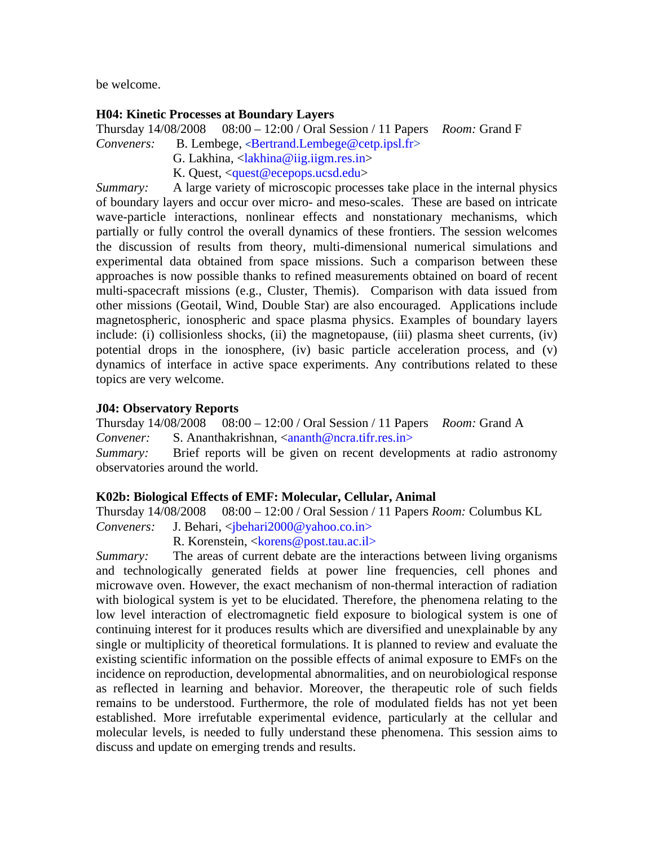be welcome.

### **H04: Kinetic Processes at Boundary Layers**

Thursday 14/08/2008 08:00 – 12:00 / Oral Session / 11 Papers *Room:* Grand F

*Conveners:* B. Lembege, <Bertrand.Lembege@cetp.ipsl.fr>

- G. Lakhina, <lakhina@iig.iigm.res.in>
- K. Quest, <quest@ecepops.ucsd.edu>

*Summary:* A large variety of microscopic processes take place in the internal physics of boundary layers and occur over micro- and meso-scales. These are based on intricate wave-particle interactions, nonlinear effects and nonstationary mechanisms, which partially or fully control the overall dynamics of these frontiers. The session welcomes the discussion of results from theory, multi-dimensional numerical simulations and experimental data obtained from space missions. Such a comparison between these approaches is now possible thanks to refined measurements obtained on board of recent multi-spacecraft missions (e.g., Cluster, Themis). Comparison with data issued from other missions (Geotail, Wind, Double Star) are also encouraged. Applications include magnetospheric, ionospheric and space plasma physics. Examples of boundary layers include: (i) collisionless shocks, (ii) the magnetopause, (iii) plasma sheet currents, (iv) potential drops in the ionosphere, (iv) basic particle acceleration process, and (v) dynamics of interface in active space experiments. Any contributions related to these topics are very welcome.

### **J04: Observatory Reports**

Thursday 14/08/2008 08:00 – 12:00 / Oral Session / 11 Papers *Room:* Grand A *Convener:* S. Ananthakrishnan, <ananth@ncra.tifr.res.in> *Summary:* Brief reports will be given on recent developments at radio astronomy observatories around the world.

### **K02b: Biological Effects of EMF: Molecular, Cellular, Animal**

Thursday 14/08/2008 08:00 – 12:00 / Oral Session / 11 Papers *Room:* Columbus KL *Conveners:* J. Behari, <*jbehari2000@yahoo.co.in>* 

R. Korenstein, <korens@post.tau.ac.il>

*Summary:* The areas of current debate are the interactions between living organisms and technologically generated fields at power line frequencies, cell phones and microwave oven. However, the exact mechanism of non-thermal interaction of radiation with biological system is yet to be elucidated. Therefore, the phenomena relating to the low level interaction of electromagnetic field exposure to biological system is one of continuing interest for it produces results which are diversified and unexplainable by any single or multiplicity of theoretical formulations. It is planned to review and evaluate the existing scientific information on the possible effects of animal exposure to EMFs on the incidence on reproduction, developmental abnormalities, and on neurobiological response as reflected in learning and behavior. Moreover, the therapeutic role of such fields remains to be understood. Furthermore, the role of modulated fields has not yet been established. More irrefutable experimental evidence, particularly at the cellular and molecular levels, is needed to fully understand these phenomena. This session aims to discuss and update on emerging trends and results.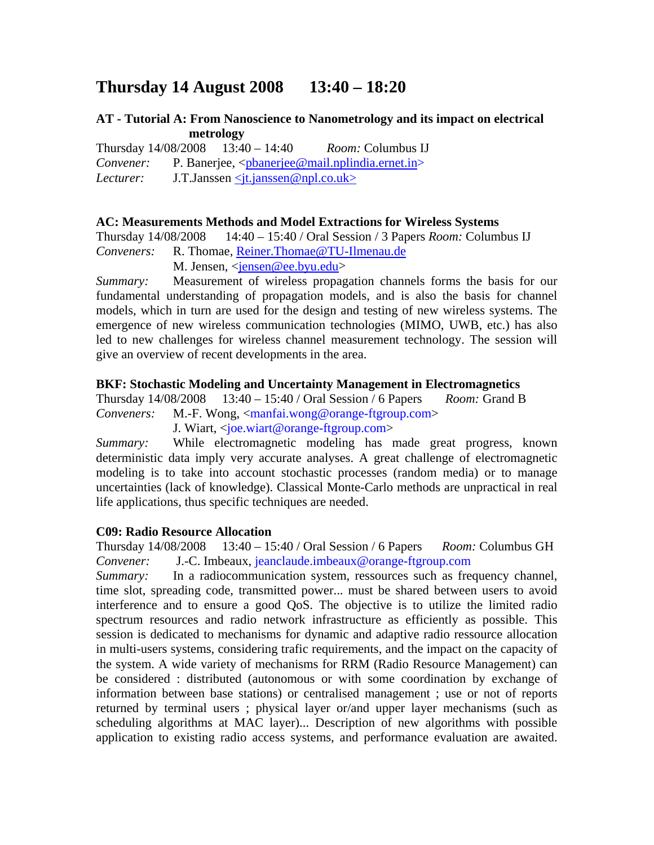# **Thursday 14 August 2008 13:40 – 18:20**

## **AT - Tutorial A: From Nanoscience to Nanometrology and its impact on electrical metrology**

Thursday 14/08/2008 13:40 – 14:40 *Room:* Columbus IJ *Convener:* P. Banerjee, <pbanerjee@mail.nplindia.ernet.in> *Lecturer:* J.T.Janssen <*it.janssen@npl.co.uk>* 

### **AC: Measurements Methods and Model Extractions for Wireless Systems**

Thursday 14/08/2008 14:40 – 15:40 / Oral Session / 3 Papers *Room:* Columbus IJ *Conveners:* R. Thomae, Reiner.Thomae@TU-Ilmenau.de M. Jensen, <jensen@ee.byu.edu>

*Summary:* Measurement of wireless propagation channels forms the basis for our fundamental understanding of propagation models, and is also the basis for channel models, which in turn are used for the design and testing of new wireless systems. The emergence of new wireless communication technologies (MIMO, UWB, etc.) has also led to new challenges for wireless channel measurement technology. The session will give an overview of recent developments in the area.

### **BKF: Stochastic Modeling and Uncertainty Management in Electromagnetics**

Thursday 14/08/2008 13:40 – 15:40 / Oral Session / 6 Papers *Room:* Grand B *Conveners:* M.-F. Wong, <manfai.wong@orange-ftgroup.com>

J. Wiart, <joe.wiart@orange-ftgroup.com>

*Summary:* While electromagnetic modeling has made great progress, known deterministic data imply very accurate analyses. A great challenge of electromagnetic modeling is to take into account stochastic processes (random media) or to manage uncertainties (lack of knowledge). Classical Monte-Carlo methods are unpractical in real life applications, thus specific techniques are needed.

### **C09: Radio Resource Allocation**

Thursday 14/08/2008 13:40 – 15:40 / Oral Session / 6 Papers *Room:* Columbus GH *Convener:* J.-C. Imbeaux, jeanclaude.imbeaux@orange-ftgroup.com

*Summary:* In a radiocommunication system, ressources such as frequency channel, time slot, spreading code, transmitted power... must be shared between users to avoid interference and to ensure a good QoS. The objective is to utilize the limited radio spectrum resources and radio network infrastructure as efficiently as possible. This session is dedicated to mechanisms for dynamic and adaptive radio ressource allocation in multi-users systems, considering trafic requirements, and the impact on the capacity of the system. A wide variety of mechanisms for RRM (Radio Resource Management) can be considered : distributed (autonomous or with some coordination by exchange of information between base stations) or centralised management ; use or not of reports returned by terminal users ; physical layer or/and upper layer mechanisms (such as scheduling algorithms at MAC layer)... Description of new algorithms with possible application to existing radio access systems, and performance evaluation are awaited.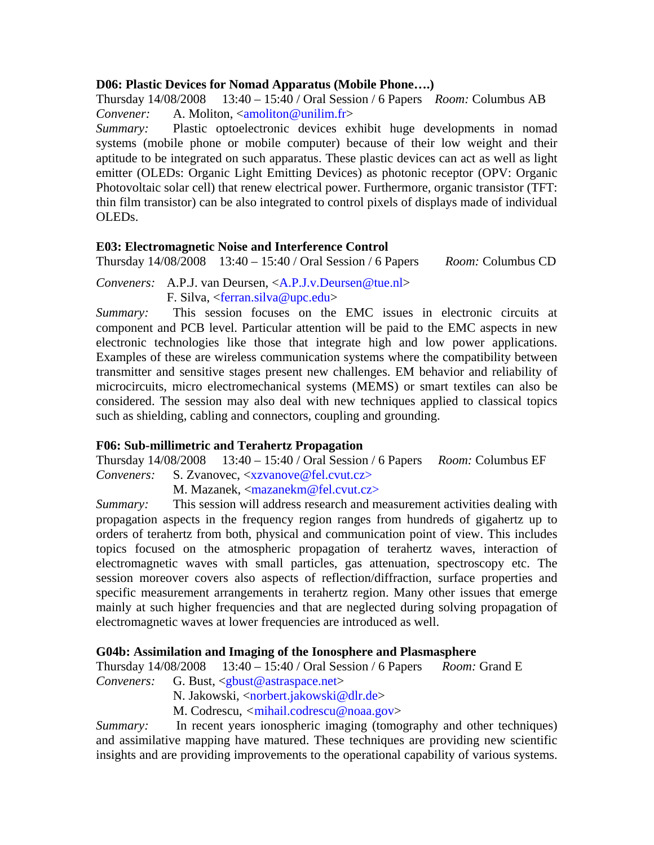### **D06: Plastic Devices for Nomad Apparatus (Mobile Phone….)**

Thursday 14/08/2008 13:40 – 15:40 / Oral Session / 6 Papers *Room:* Columbus AB *Convener:* A. Moliton, <amoliton@unilim.fr>

*Summary:* Plastic optoelectronic devices exhibit huge developments in nomad systems (mobile phone or mobile computer) because of their low weight and their aptitude to be integrated on such apparatus. These plastic devices can act as well as light emitter (OLEDs: Organic Light Emitting Devices) as photonic receptor (OPV: Organic Photovoltaic solar cell) that renew electrical power. Furthermore, organic transistor (TFT: thin film transistor) can be also integrated to control pixels of displays made of individual OLEDs.

## **E03: Electromagnetic Noise and Interference Control**

Thursday 14/08/2008 13:40 – 15:40 / Oral Session / 6 Papers *Room:* Columbus CD

*Conveners:* A.P.J. van Deursen, <A.P.J.v.Deursen@tue.nl> F. Silva, <ferran.silva@upc.edu>

*Summary:* This session focuses on the EMC issues in electronic circuits at component and PCB level. Particular attention will be paid to the EMC aspects in new electronic technologies like those that integrate high and low power applications. Examples of these are wireless communication systems where the compatibility between transmitter and sensitive stages present new challenges. EM behavior and reliability of microcircuits, micro electromechanical systems (MEMS) or smart textiles can also be considered. The session may also deal with new techniques applied to classical topics such as shielding, cabling and connectors, coupling and grounding.

# **F06: Sub-millimetric and Terahertz Propagation**

Thursday 14/08/2008 13:40 – 15:40 / Oral Session / 6 Papers *Room:* Columbus EF

*Conveners:* S. Zvanovec, <xzvanove@fel.cvut.cz>

M. Mazanek, <mazanekm@fel.cvut.cz>

*Summary:* This session will address research and measurement activities dealing with propagation aspects in the frequency region ranges from hundreds of gigahertz up to orders of terahertz from both, physical and communication point of view. This includes topics focused on the atmospheric propagation of terahertz waves, interaction of electromagnetic waves with small particles, gas attenuation, spectroscopy etc. The session moreover covers also aspects of reflection/diffraction, surface properties and specific measurement arrangements in terahertz region. Many other issues that emerge mainly at such higher frequencies and that are neglected during solving propagation of electromagnetic waves at lower frequencies are introduced as well.

# **G04b: Assimilation and Imaging of the Ionosphere and Plasmasphere**

Thursday 14/08/2008 13:40 – 15:40 / Oral Session / 6 Papers *Room:* Grand E

*Conveners:* G. Bust, <gbust@astraspace.net>

N. Jakowski, <norbert.jakowski@dlr.de>

M. Codrescu, *<*mihail.codrescu@noaa.gov>

*Summary:* In recent years ionospheric imaging (tomography and other techniques) and assimilative mapping have matured. These techniques are providing new scientific insights and are providing improvements to the operational capability of various systems.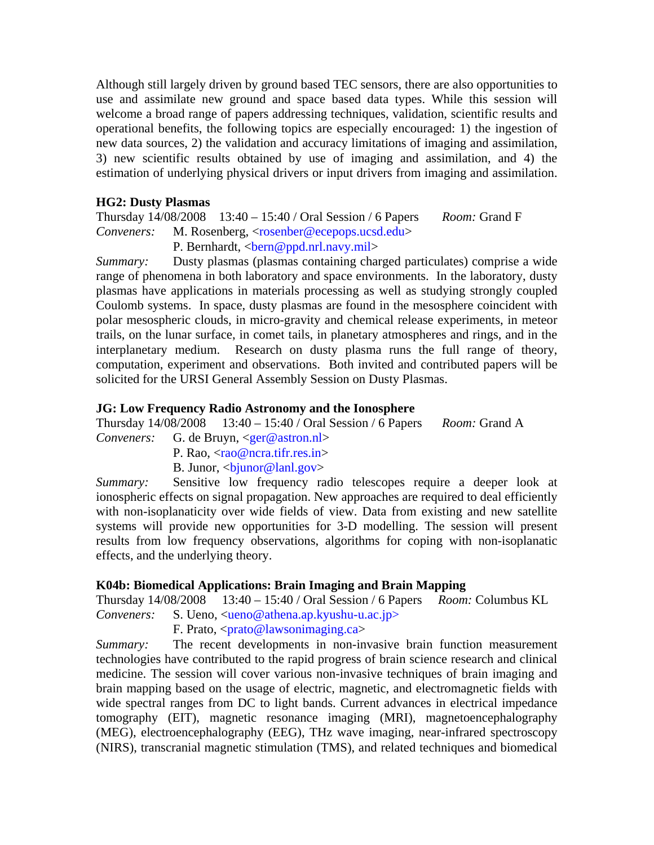Although still largely driven by ground based TEC sensors, there are also opportunities to use and assimilate new ground and space based data types. While this session will welcome a broad range of papers addressing techniques, validation, scientific results and operational benefits, the following topics are especially encouraged: 1) the ingestion of new data sources, 2) the validation and accuracy limitations of imaging and assimilation, 3) new scientific results obtained by use of imaging and assimilation, and 4) the estimation of underlying physical drivers or input drivers from imaging and assimilation.

### **HG2: Dusty Plasmas**

Thursday 14/08/2008 13:40 – 15:40 / Oral Session / 6 Papers *Room:* Grand F *Conveners:* M. Rosenberg, <rosenber@ecepops.ucsd.edu> P. Bernhardt, <br/>bern@ppd.nrl.navy.mil>

*Summary:* Dusty plasmas (plasmas containing charged particulates) comprise a wide range of phenomena in both laboratory and space environments. In the laboratory, dusty plasmas have applications in materials processing as well as studying strongly coupled Coulomb systems. In space, dusty plasmas are found in the mesosphere coincident with polar mesospheric clouds, in micro-gravity and chemical release experiments, in meteor trails, on the lunar surface, in comet tails, in planetary atmospheres and rings, and in the interplanetary medium. Research on dusty plasma runs the full range of theory, computation, experiment and observations. Both invited and contributed papers will be solicited for the URSI General Assembly Session on Dusty Plasmas.

## **JG: Low Frequency Radio Astronomy and the Ionosphere**

Thursday 14/08/2008 13:40 – 15:40 / Oral Session / 6 Papers *Room:* Grand A

- *Conveners:* G. de Bruyn, <ger@astron.nl>
	- P. Rao,  $\langle \text{rao@ncra.} \text{tifr.} \text{res.in} \rangle$
	- B. Junor,  $\langle$ bjunor@lanl.gov>

*Summary:* Sensitive low frequency radio telescopes require a deeper look at ionospheric effects on signal propagation. New approaches are required to deal efficiently with non-isoplanaticity over wide fields of view. Data from existing and new satellite systems will provide new opportunities for 3-D modelling. The session will present results from low frequency observations, algorithms for coping with non-isoplanatic effects, and the underlying theory.

### **K04b: Biomedical Applications: Brain Imaging and Brain Mapping**

Thursday 14/08/2008 13:40 – 15:40 / Oral Session / 6 Papers *Room:* Columbus KL

*Conveners:* S. Ueno, <ueno@athena.ap.kyushu-u.ac.jp>

F. Prato,  $\langle \text{prato@lawsonimaging.ca} \rangle$ 

*Summary:* The recent developments in non-invasive brain function measurement technologies have contributed to the rapid progress of brain science research and clinical medicine. The session will cover various non-invasive techniques of brain imaging and brain mapping based on the usage of electric, magnetic, and electromagnetic fields with wide spectral ranges from DC to light bands. Current advances in electrical impedance tomography (EIT), magnetic resonance imaging (MRI), magnetoencephalography (MEG), electroencephalography (EEG), THz wave imaging, near-infrared spectroscopy (NIRS), transcranial magnetic stimulation (TMS), and related techniques and biomedical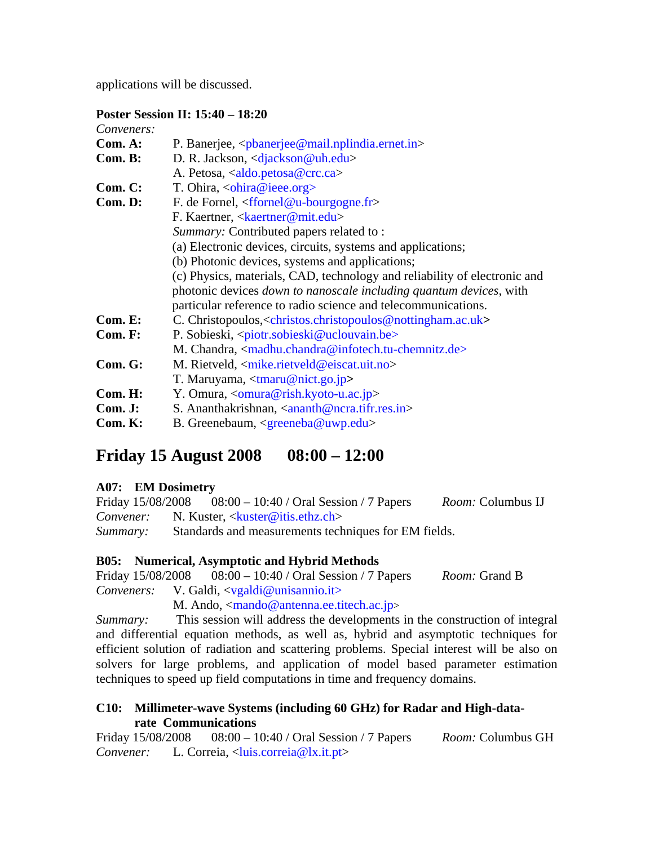applications will be discussed.

## **Poster Session II: 15:40 – 18:20**

| Conveners: |                                                                                                       |  |  |
|------------|-------------------------------------------------------------------------------------------------------|--|--|
| Com. A:    | P. Banerjee, <pbanerjee@mail.nplindia.ernet.in></pbanerjee@mail.nplindia.ernet.in>                    |  |  |
| Com. B:    | D. R. Jackson, <djackson@uh.edu></djackson@uh.edu>                                                    |  |  |
|            | A. Petosa, <aldo.petosa@crc.ca></aldo.petosa@crc.ca>                                                  |  |  |
| Com. C:    | T. Ohira, $\langle \text{ohira} @ \text{iece.org} \rangle$                                            |  |  |
| Com. D:    | F. de Fornel, $\langle$ ffornel@u-bourgogne.fr>                                                       |  |  |
|            | F. Kaertner, <kaertner@mit.edu></kaertner@mit.edu>                                                    |  |  |
|            | Summary: Contributed papers related to:                                                               |  |  |
|            | (a) Electronic devices, circuits, systems and applications;                                           |  |  |
|            | (b) Photonic devices, systems and applications;                                                       |  |  |
|            | (c) Physics, materials, CAD, technology and reliability of electronic and                             |  |  |
|            | photonic devices down to nanoscale including quantum devices, with                                    |  |  |
|            | particular reference to radio science and telecommunications.                                         |  |  |
| Com. E:    | C. Christopoulos, <christos.christopoulos@nottingham.ac.uk></christos.christopoulos@nottingham.ac.uk> |  |  |
| Com. F:    | P. Sobieski, <piotr.sobieski@uclouvain.be></piotr.sobieski@uclouvain.be>                              |  |  |
|            | M. Chandra, <madhu.chandra@infotech.tu-chemnitz.de></madhu.chandra@infotech.tu-chemnitz.de>           |  |  |
| Com. G:    | M. Rietveld, $\langle$ mike.rietveld@eiscat.uit.no>                                                   |  |  |
|            | T. Maruyama, $\langle \text{tmaru}\ \llbracket \text{mict.go.jp} \rangle$                             |  |  |
| Com. H:    | Y. Omura, <omura@rish.kyoto-u.ac.jp></omura@rish.kyoto-u.ac.jp>                                       |  |  |
| Com. J:    | S. Ananthakrishnan, $\langle$ ananth@ncra.tifr.res.in>                                                |  |  |
| Com. K:    | B. Greenebaum, $\langle$ greeneba@uwp.edu>                                                            |  |  |

# **Friday 15 August 2008 08:00 – 12:00**

# **A07: EM Dosimetry**

Friday 15/08/2008 08:00 – 10:40 / Oral Session / 7 Papers *Room:* Columbus IJ *Convener:* N. Kuster, <kuster@itis.ethz.ch> *Summary:* Standards and measurements techniques for EM fields.

### **B05: Numerical, Asymptotic and Hybrid Methods**

Friday 15/08/2008 08:00 – 10:40 / Oral Session / 7 Papers *Room:* Grand B *Conveners:* V. Galdi, <vgaldi@unisannio.it>

M. Ando,  $\langle \text{mando} @ \text{antenna.ee.titech.ac.jp} \rangle$ 

*Summary:* This session will address the developments in the construction of integral and differential equation methods, as well as, hybrid and asymptotic techniques for efficient solution of radiation and scattering problems. Special interest will be also on solvers for large problems, and application of model based parameter estimation techniques to speed up field computations in time and frequency domains.

## **C10: Millimeter-wave Systems (including 60 GHz) for Radar and High-datarate Communications**

Friday 15/08/2008 08:00 – 10:40 / Oral Session / 7 Papers *Room:* Columbus GH *Convener:* L. Correia, <luis.correia@lx.it.pt>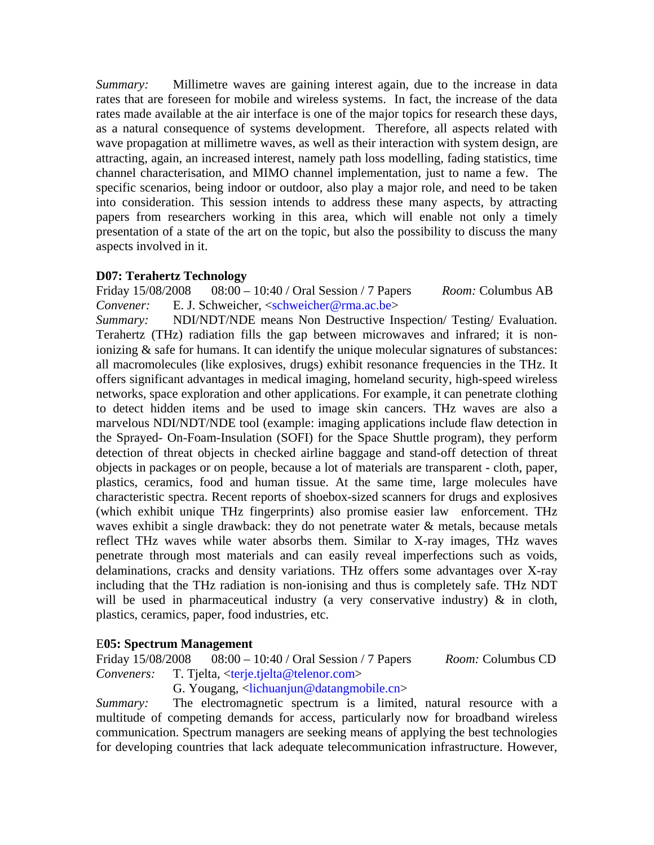*Summary:* Millimetre waves are gaining interest again, due to the increase in data rates that are foreseen for mobile and wireless systems. In fact, the increase of the data rates made available at the air interface is one of the major topics for research these days, as a natural consequence of systems development. Therefore, all aspects related with wave propagation at millimetre waves, as well as their interaction with system design, are attracting, again, an increased interest, namely path loss modelling, fading statistics, time channel characterisation, and MIMO channel implementation, just to name a few. The specific scenarios, being indoor or outdoor, also play a major role, and need to be taken into consideration. This session intends to address these many aspects, by attracting papers from researchers working in this area, which will enable not only a timely presentation of a state of the art on the topic, but also the possibility to discuss the many aspects involved in it.

# **D07: Terahertz Technology**

Friday 15/08/2008 08:00 – 10:40 / Oral Session / 7 Papers *Room:* Columbus AB *Convener:* E. J. Schweicher, <schweicher@rma.ac.be>

*Summary:* NDI/NDT/NDE means Non Destructive Inspection/ Testing/ Evaluation. Terahertz (THz) radiation fills the gap between microwaves and infrared; it is nonionizing & safe for humans. It can identify the unique molecular signatures of substances: all macromolecules (like explosives, drugs) exhibit resonance frequencies in the THz. It offers significant advantages in medical imaging, homeland security, high-speed wireless networks, space exploration and other applications. For example, it can penetrate clothing to detect hidden items and be used to image skin cancers. THz waves are also a marvelous NDI/NDT/NDE tool (example: imaging applications include flaw detection in the Sprayed- On-Foam-Insulation (SOFI) for the Space Shuttle program), they perform detection of threat objects in checked airline baggage and stand-off detection of threat objects in packages or on people, because a lot of materials are transparent - cloth, paper, plastics, ceramics, food and human tissue. At the same time, large molecules have characteristic spectra. Recent reports of shoebox-sized scanners for drugs and explosives (which exhibit unique THz fingerprints) also promise easier law enforcement. THz waves exhibit a single drawback: they do not penetrate water  $\&$  metals, because metals reflect THz waves while water absorbs them. Similar to X-ray images, THz waves penetrate through most materials and can easily reveal imperfections such as voids, delaminations, cracks and density variations. THz offers some advantages over X-ray including that the THz radiation is non-ionising and thus is completely safe. THz NDT will be used in pharmaceutical industry (a very conservative industry)  $\&$  in cloth, plastics, ceramics, paper, food industries, etc.

# E**05: Spectrum Management**

Friday 15/08/2008 08:00 – 10:40 / Oral Session / 7 Papers *Room:* Columbus CD *Conveners:* T. Tjelta, <terje.tjelta@telenor.com>

G. Yougang, <lichuanjun@datangmobile.cn>

*Summary:* The electromagnetic spectrum is a limited, natural resource with a multitude of competing demands for access, particularly now for broadband wireless communication. Spectrum managers are seeking means of applying the best technologies for developing countries that lack adequate telecommunication infrastructure. However,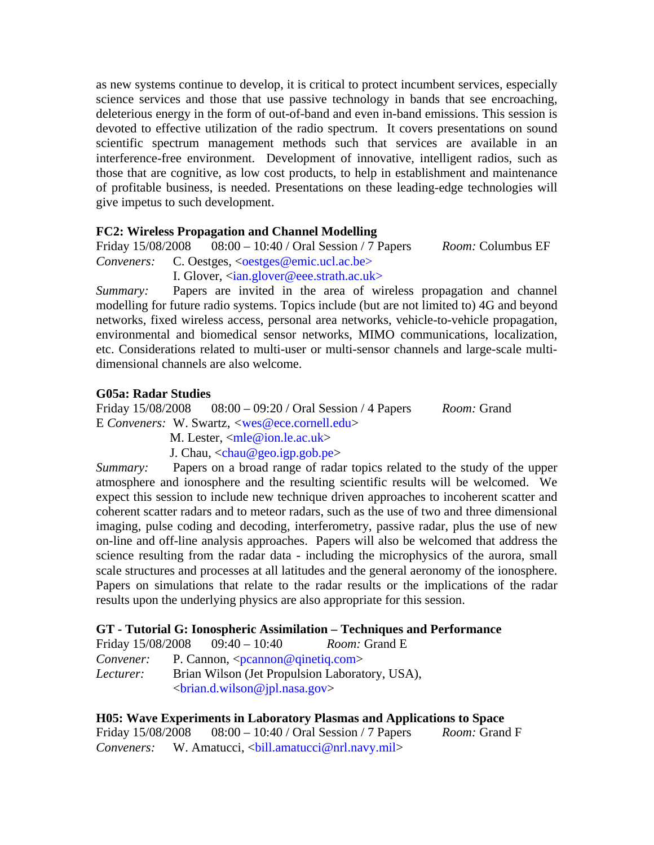as new systems continue to develop, it is critical to protect incumbent services, especially science services and those that use passive technology in bands that see encroaching, deleterious energy in the form of out-of-band and even in-band emissions. This session is devoted to effective utilization of the radio spectrum. It covers presentations on sound scientific spectrum management methods such that services are available in an interference-free environment. Development of innovative, intelligent radios, such as those that are cognitive, as low cost products, to help in establishment and maintenance of profitable business, is needed. Presentations on these leading-edge technologies will give impetus to such development.

## **FC2: Wireless Propagation and Channel Modelling**

Friday 15/08/2008 08:00 – 10:40 / Oral Session / 7 Papers *Room:* Columbus EF

*Conveners:* C. Oestges, <*oestges@emic.ucl.ac.be>* I. Glover, <ian.glover@eee.strath.ac.uk>

*Summary:* Papers are invited in the area of wireless propagation and channel modelling for future radio systems. Topics include (but are not limited to) 4G and beyond networks, fixed wireless access, personal area networks, vehicle-to-vehicle propagation, environmental and biomedical sensor networks, MIMO communications, localization, etc. Considerations related to multi-user or multi-sensor channels and large-scale multidimensional channels are also welcome.

### **G05a: Radar Studies**

Friday 15/08/2008 08:00 – 09:20 / Oral Session / 4 Papers *Room:* Grand E *Conveners:* W. Swartz, *<*wes@ece.cornell.edu>

M. Lester,  $\langle$ mle@ion.le.ac.uk $>$ 

J. Chau,  $\langle$ chau@geo.igp.gob.pe $\rangle$ 

*Summary:* Papers on a broad range of radar topics related to the study of the upper atmosphere and ionosphere and the resulting scientific results will be welcomed. We expect this session to include new technique driven approaches to incoherent scatter and coherent scatter radars and to meteor radars, such as the use of two and three dimensional imaging, pulse coding and decoding, interferometry, passive radar, plus the use of new on-line and off-line analysis approaches. Papers will also be welcomed that address the science resulting from the radar data - including the microphysics of the aurora, small scale structures and processes at all latitudes and the general aeronomy of the ionosphere. Papers on simulations that relate to the radar results or the implications of the radar results upon the underlying physics are also appropriate for this session.

# **GT - Tutorial G: Ionospheric Assimilation – Techniques and Performance**

| Friday 15/08/2008 |                                                | $09:40 - 10:40$                           | <i>Room:</i> Grand E |
|-------------------|------------------------------------------------|-------------------------------------------|----------------------|
| <i>Convener:</i>  |                                                | P. Cannon, $\langle$ pcannon@qinetiq.com> |                      |
| Lecturer:         | Brian Wilson (Jet Propulsion Laboratory, USA), |                                           |                      |
|                   |                                                | <br>chand.wilson@jpl.nasa.gov>            |                      |

**H05: Wave Experiments in Laboratory Plasmas and Applications to Space**  Friday 15/08/2008 08:00 – 10:40 / Oral Session / 7 Papers *Room:* Grand F *Conveners:* W. Amatucci, <ball.amatucci@nrl.navy.mil>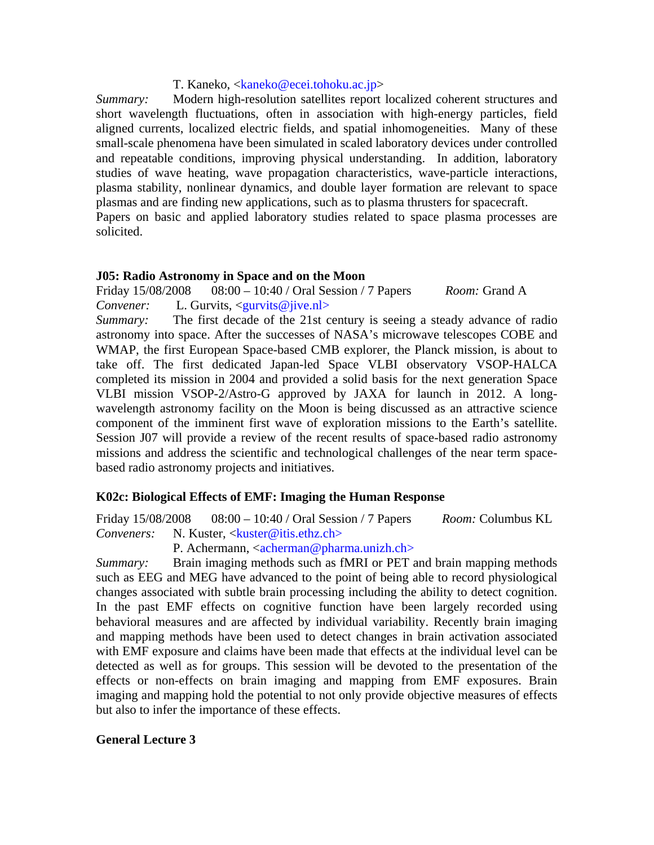### T. Kaneko, <kaneko@ecei.tohoku.ac.jp>

*Summary:* Modern high-resolution satellites report localized coherent structures and short wavelength fluctuations, often in association with high-energy particles, field aligned currents, localized electric fields, and spatial inhomogeneities. Many of these small-scale phenomena have been simulated in scaled laboratory devices under controlled and repeatable conditions, improving physical understanding. In addition, laboratory studies of wave heating, wave propagation characteristics, wave-particle interactions, plasma stability, nonlinear dynamics, and double layer formation are relevant to space plasmas and are finding new applications, such as to plasma thrusters for spacecraft. Papers on basic and applied laboratory studies related to space plasma processes are solicited.

### **J05: Radio Astronomy in Space and on the Moon**

Friday 15/08/2008 08:00 – 10:40 / Oral Session / 7 Papers *Room:* Grand A *Convener:* L. Gurvits, <gurvits@jive.nl>

*Summary:* The first decade of the 21st century is seeing a steady advance of radio astronomy into space. After the successes of NASA's microwave telescopes COBE and WMAP, the first European Space-based CMB explorer, the Planck mission, is about to take off. The first dedicated Japan-led Space VLBI observatory VSOP-HALCA completed its mission in 2004 and provided a solid basis for the next generation Space VLBI mission VSOP-2/Astro-G approved by JAXA for launch in 2012. A longwavelength astronomy facility on the Moon is being discussed as an attractive science component of the imminent first wave of exploration missions to the Earth's satellite. Session J07 will provide a review of the recent results of space-based radio astronomy missions and address the scientific and technological challenges of the near term spacebased radio astronomy projects and initiatives.

### **K02c: Biological Effects of EMF: Imaging the Human Response**

Friday 15/08/2008 08:00 – 10:40 / Oral Session / 7 Papers *Room:* Columbus KL *Conveners:* N. Kuster, <kuster@itis.ethz.ch>

P. Achermann,  $\langle \text{acherman} \mathcal{Q} \text{pharma.}$ unizh.ch>

*Summary:* Brain imaging methods such as fMRI or PET and brain mapping methods such as EEG and MEG have advanced to the point of being able to record physiological changes associated with subtle brain processing including the ability to detect cognition. In the past EMF effects on cognitive function have been largely recorded using behavioral measures and are affected by individual variability. Recently brain imaging and mapping methods have been used to detect changes in brain activation associated with EMF exposure and claims have been made that effects at the individual level can be detected as well as for groups. This session will be devoted to the presentation of the effects or non-effects on brain imaging and mapping from EMF exposures. Brain imaging and mapping hold the potential to not only provide objective measures of effects but also to infer the importance of these effects.

### **General Lecture 3**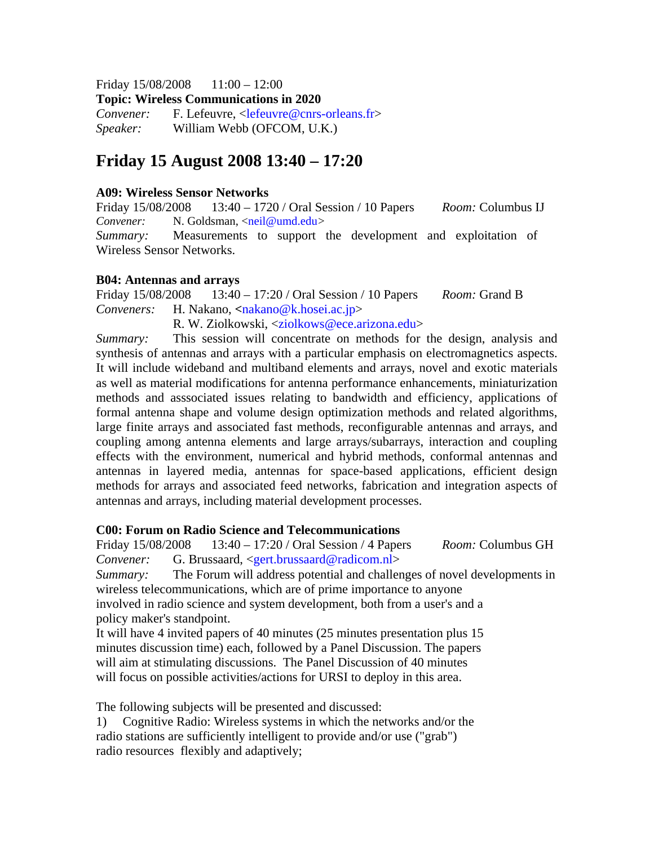Friday 15/08/2008 11:00 – 12:00

**Topic: Wireless Communications in 2020** 

*Convener:* F. Lefeuvre, <lefeuvre@cnrs-orleans.fr> *Speaker:* William Webb (OFCOM, U.K.)

# **Friday 15 August 2008 13:40 – 17:20**

### **A09: Wireless Sensor Networks**

Friday 15/08/2008 13:40 – 1720 / Oral Session / 10 Papers *Room:* Columbus IJ *Convener:* N. Goldsman, <neil@umd.edu>

*Summary:* Measurements to support the development and exploitation of Wireless Sensor Networks.

### **B04: Antennas and arrays**

Friday 15/08/2008 13:40 – 17:20 / Oral Session / 10 Papers *Room:* Grand B *Conveners:* H. Nakano, **<**nakano@k.hosei.ac.jp>

R. W. Ziolkowski, <ziolkows@ece.arizona.edu>

*Summary:* This session will concentrate on methods for the design, analysis and synthesis of antennas and arrays with a particular emphasis on electromagnetics aspects. It will include wideband and multiband elements and arrays, novel and exotic materials as well as material modifications for antenna performance enhancements, miniaturization methods and asssociated issues relating to bandwidth and efficiency, applications of formal antenna shape and volume design optimization methods and related algorithms, large finite arrays and associated fast methods, reconfigurable antennas and arrays, and coupling among antenna elements and large arrays/subarrays, interaction and coupling effects with the environment, numerical and hybrid methods, conformal antennas and antennas in layered media, antennas for space-based applications, efficient design methods for arrays and associated feed networks, fabrication and integration aspects of antennas and arrays, including material development processes.

### **C00: Forum on Radio Science and Telecommunications**

Friday 15/08/2008 13:40 – 17:20 / Oral Session / 4 Papers *Room:* Columbus GH *Convener:* G. Brussaard, <gert.brussaard@radicom.nl>

*Summary:* The Forum will address potential and challenges of novel developments in wireless telecommunications, which are of prime importance to anyone involved in radio science and system development, both from a user's and a policy maker's standpoint.

It will have 4 invited papers of 40 minutes (25 minutes presentation plus 15 minutes discussion time) each, followed by a Panel Discussion. The papers will aim at stimulating discussions. The Panel Discussion of 40 minutes will focus on possible activities/actions for URSI to deploy in this area.

The following subjects will be presented and discussed:

1) Cognitive Radio: Wireless systems in which the networks and/or the radio stations are sufficiently intelligent to provide and/or use ("grab") radio resources flexibly and adaptively;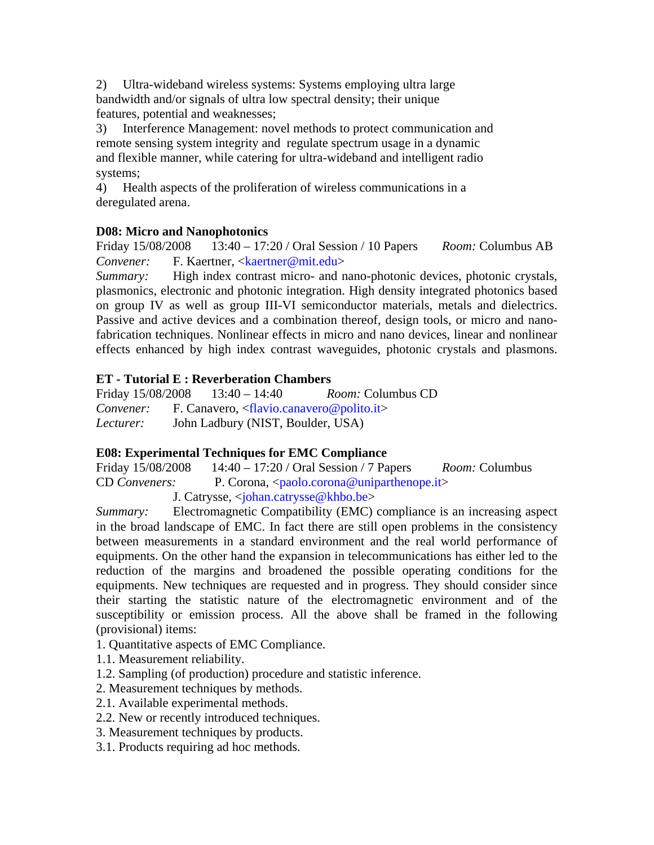2) Ultra-wideband wireless systems: Systems employing ultra large bandwidth and/or signals of ultra low spectral density; their unique features, potential and weaknesses;

3) Interference Management: novel methods to protect communication and remote sensing system integrity and regulate spectrum usage in a dynamic and flexible manner, while catering for ultra-wideband and intelligent radio systems;

4) Health aspects of the proliferation of wireless communications in a deregulated arena.

# **D08: Micro and Nanophotonics**

Friday 15/08/2008 13:40 – 17:20 / Oral Session / 10 Papers *Room:* Columbus AB *Convener:* F. Kaertner, <kaertner@mit.edu>

*Summary:* High index contrast micro- and nano-photonic devices, photonic crystals, plasmonics, electronic and photonic integration. High density integrated photonics based on group IV as well as group III-VI semiconductor materials, metals and dielectrics. Passive and active devices and a combination thereof, design tools, or micro and nanofabrication techniques. Nonlinear effects in micro and nano devices, linear and nonlinear effects enhanced by high index contrast waveguides, photonic crystals and plasmons.

# **ET - Tutorial E : Reverberation Chambers**

Friday 15/08/2008 13:40 – 14:40 *Room:* Columbus CD *Convener:* F. Canavero, <flavio.canavero@polito.it> *Lecturer:* John Ladbury (NIST, Boulder, USA)

# **E08: Experimental Techniques for EMC Compliance**

Friday 15/08/2008 14:40 – 17:20 / Oral Session / 7 Papers *Room:* Columbus CD *Conveners:* P. Corona, <paolo.corona@uniparthenope.it> J. Catrysse, <johan.catrysse@khbo.be>

*Summary:* Electromagnetic Compatibility (EMC) compliance is an increasing aspect in the broad landscape of EMC. In fact there are still open problems in the consistency between measurements in a standard environment and the real world performance of equipments. On the other hand the expansion in telecommunications has either led to the reduction of the margins and broadened the possible operating conditions for the equipments. New techniques are requested and in progress. They should consider since their starting the statistic nature of the electromagnetic environment and of the susceptibility or emission process. All the above shall be framed in the following (provisional) items:

- 1. Quantitative aspects of EMC Compliance.
- 1.1. Measurement reliability.
- 1.2. Sampling (of production) procedure and statistic inference.
- 2. Measurement techniques by methods.
- 2.1. Available experimental methods.
- 2.2. New or recently introduced techniques.
- 3. Measurement techniques by products.
- 3.1. Products requiring ad hoc methods.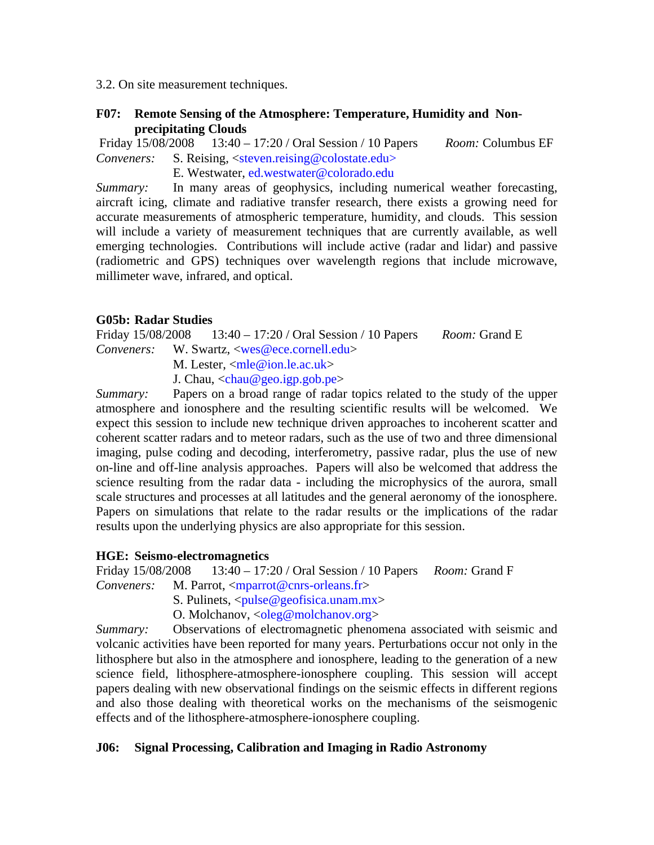3.2. On site measurement techniques.

### **F07: Remote Sensing of the Atmosphere: Temperature, Humidity and Nonprecipitating Clouds**

Friday 15/08/2008 13:40 – 17:20 / Oral Session / 10 Papers *Room:* Columbus EF *Conveners:* S. Reising, <steven.reising@colostate.edu>

E. Westwater, ed.westwater@colorado.edu

*Summary:* In many areas of geophysics, including numerical weather forecasting, aircraft icing, climate and radiative transfer research, there exists a growing need for accurate measurements of atmospheric temperature, humidity, and clouds. This session will include a variety of measurement techniques that are currently available, as well emerging technologies. Contributions will include active (radar and lidar) and passive (radiometric and GPS) techniques over wavelength regions that include microwave, millimeter wave, infrared, and optical.

# **G05b: Radar Studies**

Friday 15/08/2008 13:40 – 17:20 / Oral Session / 10 Papers *Room:* Grand E *Conveners:* W. Swartz, <wes@ece.cornell.edu>

M. Lester, <mle@ion.le.ac.uk>

J. Chau, <chau@geo.igp.gob.pe>

*Summary:* Papers on a broad range of radar topics related to the study of the upper atmosphere and ionosphere and the resulting scientific results will be welcomed. We expect this session to include new technique driven approaches to incoherent scatter and coherent scatter radars and to meteor radars, such as the use of two and three dimensional imaging, pulse coding and decoding, interferometry, passive radar, plus the use of new on-line and off-line analysis approaches. Papers will also be welcomed that address the science resulting from the radar data - including the microphysics of the aurora, small scale structures and processes at all latitudes and the general aeronomy of the ionosphere. Papers on simulations that relate to the radar results or the implications of the radar results upon the underlying physics are also appropriate for this session.

### **HGE: Seismo-electromagnetics**

Friday 15/08/2008 13:40 – 17:20 / Oral Session / 10 Papers *Room:* Grand F

*Conveners:* M. Parrot, <*mparrot@cnrs-orleans.fr>* 

S. Pulinets,  $\langle \text{pulse} @ \text{geofisica.}$ unam.mx $\rangle$ 

O. Molchanov,  $\langle$ oleg@molchanov.org>

*Summary:* Observations of electromagnetic phenomena associated with seismic and volcanic activities have been reported for many years. Perturbations occur not only in the lithosphere but also in the atmosphere and ionosphere, leading to the generation of a new science field, lithosphere-atmosphere-ionosphere coupling. This session will accept papers dealing with new observational findings on the seismic effects in different regions and also those dealing with theoretical works on the mechanisms of the seismogenic effects and of the lithosphere-atmosphere-ionosphere coupling.

# **J06: Signal Processing, Calibration and Imaging in Radio Astronomy**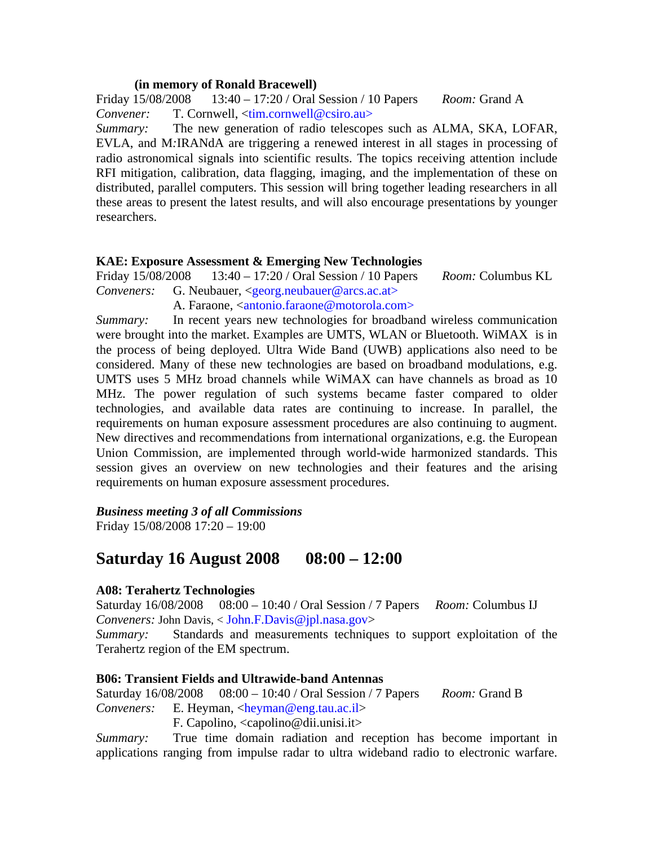#### **(in memory of Ronald Bracewell)**

Friday 15/08/2008 13:40 – 17:20 / Oral Session / 10 Papers *Room:* Grand A *Convener:* T. Cornwell, <tim.cornwell@csiro.au>

*Summary:* The new generation of radio telescopes such as ALMA, SKA, LOFAR, EVLA, and M*:*IRANdA are triggering a renewed interest in all stages in processing of radio astronomical signals into scientific results. The topics receiving attention include RFI mitigation, calibration, data flagging, imaging, and the implementation of these on distributed, parallel computers. This session will bring together leading researchers in all these areas to present the latest results, and will also encourage presentations by younger researchers.

### **KAE: Exposure Assessment & Emerging New Technologies**

Friday 15/08/2008 13:40 – 17:20 / Oral Session / 10 Papers *Room:* Columbus KL *Conveners:* G. Neubauer, <georg.neubauer@arcs.ac.at>

A. Faraone, <antonio.faraone@motorola.com>

*Summary:* In recent years new technologies for broadband wireless communication were brought into the market. Examples are UMTS, WLAN or Bluetooth. WiMAX is in the process of being deployed. Ultra Wide Band (UWB) applications also need to be considered. Many of these new technologies are based on broadband modulations, e.g. UMTS uses 5 MHz broad channels while WiMAX can have channels as broad as 10 MHz. The power regulation of such systems became faster compared to older technologies, and available data rates are continuing to increase. In parallel, the requirements on human exposure assessment procedures are also continuing to augment. New directives and recommendations from international organizations, e.g. the European Union Commission, are implemented through world-wide harmonized standards. This session gives an overview on new technologies and their features and the arising requirements on human exposure assessment procedures.

*Business meeting 3 of all Commissions* 

Friday 15/08/2008 17:20 – 19:00

# **Saturday 16 August 2008 08:00 – 12:00**

### **A08: Terahertz Technologies**

Saturday 16/08/2008 08:00 – 10:40 / Oral Session / 7 Papers *Room:* Columbus IJ *Conveners:* John Davis, < John.F.Davis@jpl.nasa.gov>

*Summary:* Standards and measurements techniques to support exploitation of the Terahertz region of the EM spectrum.

### **B06: Transient Fields and Ultrawide-band Antennas**

Saturday 16/08/2008 08:00 – 10:40 / Oral Session / 7 Papers *Room:* Grand B

*Conveners:* E. Heyman, <heyman@eng.tau.ac.il>

F. Capolino, <capolino@dii.unisi.it>

*Summary:* True time domain radiation and reception has become important in applications ranging from impulse radar to ultra wideband radio to electronic warfare.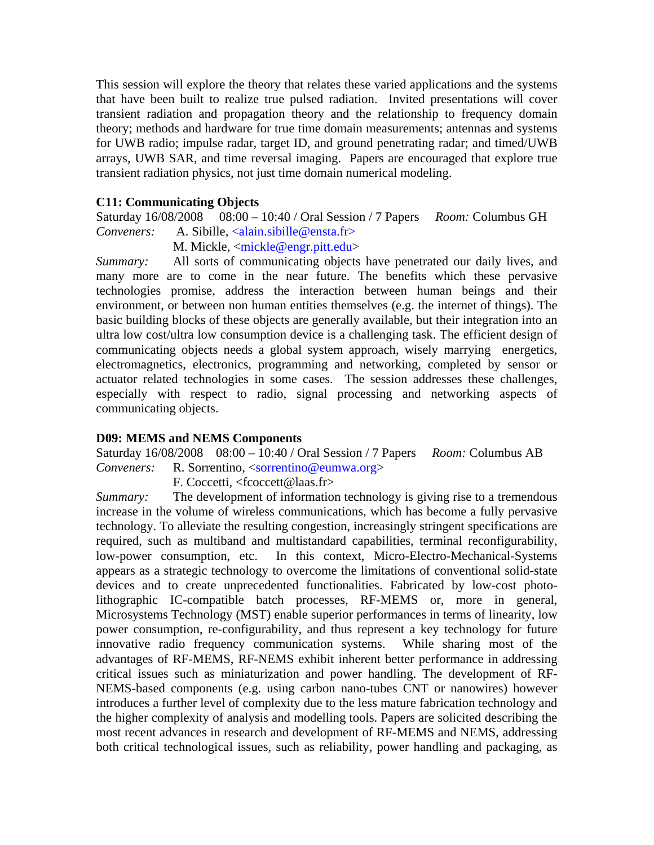This session will explore the theory that relates these varied applications and the systems that have been built to realize true pulsed radiation. Invited presentations will cover transient radiation and propagation theory and the relationship to frequency domain theory; methods and hardware for true time domain measurements; antennas and systems for UWB radio; impulse radar, target ID, and ground penetrating radar; and timed/UWB arrays, UWB SAR, and time reversal imaging. Papers are encouraged that explore true transient radiation physics, not just time domain numerical modeling.

### **C11: Communicating Objects**

Saturday 16/08/2008 08:00 – 10:40 / Oral Session / 7 Papers *Room:* Columbus GH *Conveners:* A. Sibille, <alain.sibille@ensta.fr>

M. Mickle, <mickle@engr.pitt.edu>

*Summary:* All sorts of communicating objects have penetrated our daily lives, and many more are to come in the near future. The benefits which these pervasive technologies promise, address the interaction between human beings and their environment, or between non human entities themselves (e.g. the internet of things). The basic building blocks of these objects are generally available, but their integration into an ultra low cost/ultra low consumption device is a challenging task. The efficient design of communicating objects needs a global system approach, wisely marrying energetics, electromagnetics, electronics, programming and networking, completed by sensor or actuator related technologies in some cases. The session addresses these challenges, especially with respect to radio, signal processing and networking aspects of communicating objects.

### **D09: MEMS and NEMS Components**

Saturday 16/08/2008 08:00 – 10:40 / Oral Session / 7 Papers *Room:* Columbus AB *Conveners:* R. Sorrentino, <sorrentino@eumwa.org>

F. Coccetti, <fcoccett@laas.fr>

*Summary:* The development of information technology is giving rise to a tremendous increase in the volume of wireless communications, which has become a fully pervasive technology. To alleviate the resulting congestion, increasingly stringent specifications are required, such as multiband and multistandard capabilities, terminal reconfigurability, low-power consumption, etc. In this context, Micro-Electro-Mechanical-Systems appears as a strategic technology to overcome the limitations of conventional solid-state devices and to create unprecedented functionalities. Fabricated by low-cost photolithographic IC-compatible batch processes, RF-MEMS or, more in general, Microsystems Technology (MST) enable superior performances in terms of linearity, low power consumption, re-configurability, and thus represent a key technology for future innovative radio frequency communication systems. While sharing most of the advantages of RF-MEMS, RF-NEMS exhibit inherent better performance in addressing critical issues such as miniaturization and power handling. The development of RF-NEMS-based components (e.g. using carbon nano-tubes CNT or nanowires) however introduces a further level of complexity due to the less mature fabrication technology and the higher complexity of analysis and modelling tools. Papers are solicited describing the most recent advances in research and development of RF-MEMS and NEMS, addressing both critical technological issues, such as reliability, power handling and packaging, as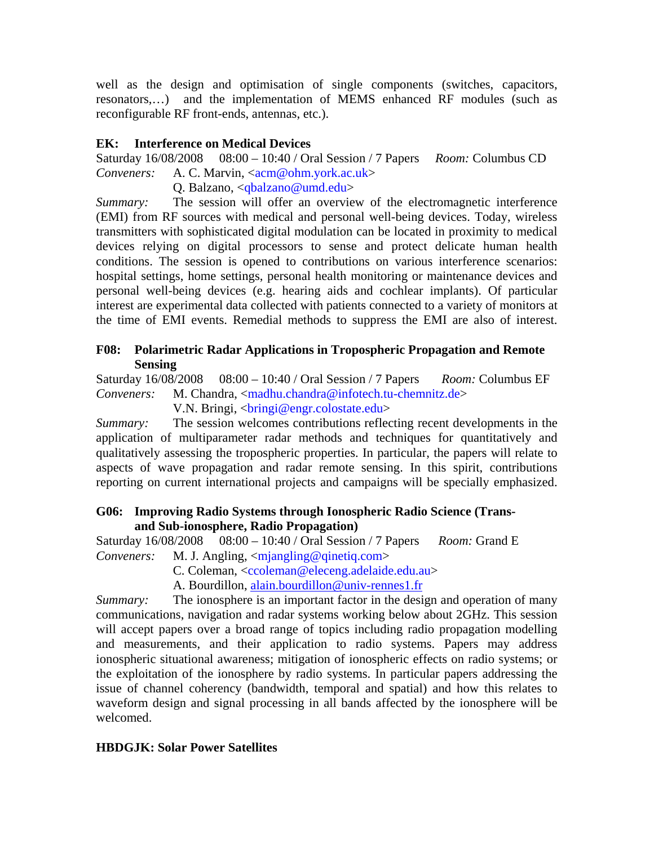well as the design and optimisation of single components (switches, capacitors, resonators,…) and the implementation of MEMS enhanced RF modules (such as reconfigurable RF front-ends, antennas, etc.).

# **EK: Interference on Medical Devices**

Saturday 16/08/2008 08:00 – 10:40 / Oral Session / 7 Papers *Room:* Columbus CD *Conveners:* A. C. Marvin, <acm@ohm.york.ac.uk>

Q. Balzano, <qbalzano@umd.edu>

*Summary:* The session will offer an overview of the electromagnetic interference (EMI) from RF sources with medical and personal well-being devices. Today, wireless transmitters with sophisticated digital modulation can be located in proximity to medical devices relying on digital processors to sense and protect delicate human health conditions. The session is opened to contributions on various interference scenarios: hospital settings, home settings, personal health monitoring or maintenance devices and personal well-being devices (e.g. hearing aids and cochlear implants). Of particular interest are experimental data collected with patients connected to a variety of monitors at the time of EMI events. Remedial methods to suppress the EMI are also of interest.

# **F08: Polarimetric Radar Applications in Tropospheric Propagation and Remote Sensing**

Saturday 16/08/2008 08:00 – 10:40 / Oral Session / 7 Papers *Room:* Columbus EF *Conveners:* M. Chandra, <madhu.chandra@infotech.tu-chemnitz.de>

V.N. Bringi, <bringi@engr.colostate.edu>

*Summary:* The session welcomes contributions reflecting recent developments in the application of multiparameter radar methods and techniques for quantitatively and qualitatively assessing the tropospheric properties. In particular, the papers will relate to aspects of wave propagation and radar remote sensing. In this spirit, contributions reporting on current international projects and campaigns will be specially emphasized.

## **G06: Improving Radio Systems through Ionospheric Radio Science (Transand Sub-ionosphere, Radio Propagation)**

Saturday 16/08/2008 08:00 – 10:40 / Oral Session / 7 Papers *Room:* Grand E *Conveners:* M. J. Angling, <mjangling@qinetiq.com>

- C. Coleman, <ccoleman@eleceng.adelaide.edu.au>
- A. Bourdillon, alain.bourdillon@univ-rennes1.fr

*Summary:* The ionosphere is an important factor in the design and operation of many communications, navigation and radar systems working below about 2GHz. This session will accept papers over a broad range of topics including radio propagation modelling and measurements, and their application to radio systems. Papers may address ionospheric situational awareness; mitigation of ionospheric effects on radio systems; or the exploitation of the ionosphere by radio systems. In particular papers addressing the issue of channel coherency (bandwidth, temporal and spatial) and how this relates to waveform design and signal processing in all bands affected by the ionosphere will be welcomed.

# **HBDGJK: Solar Power Satellites**